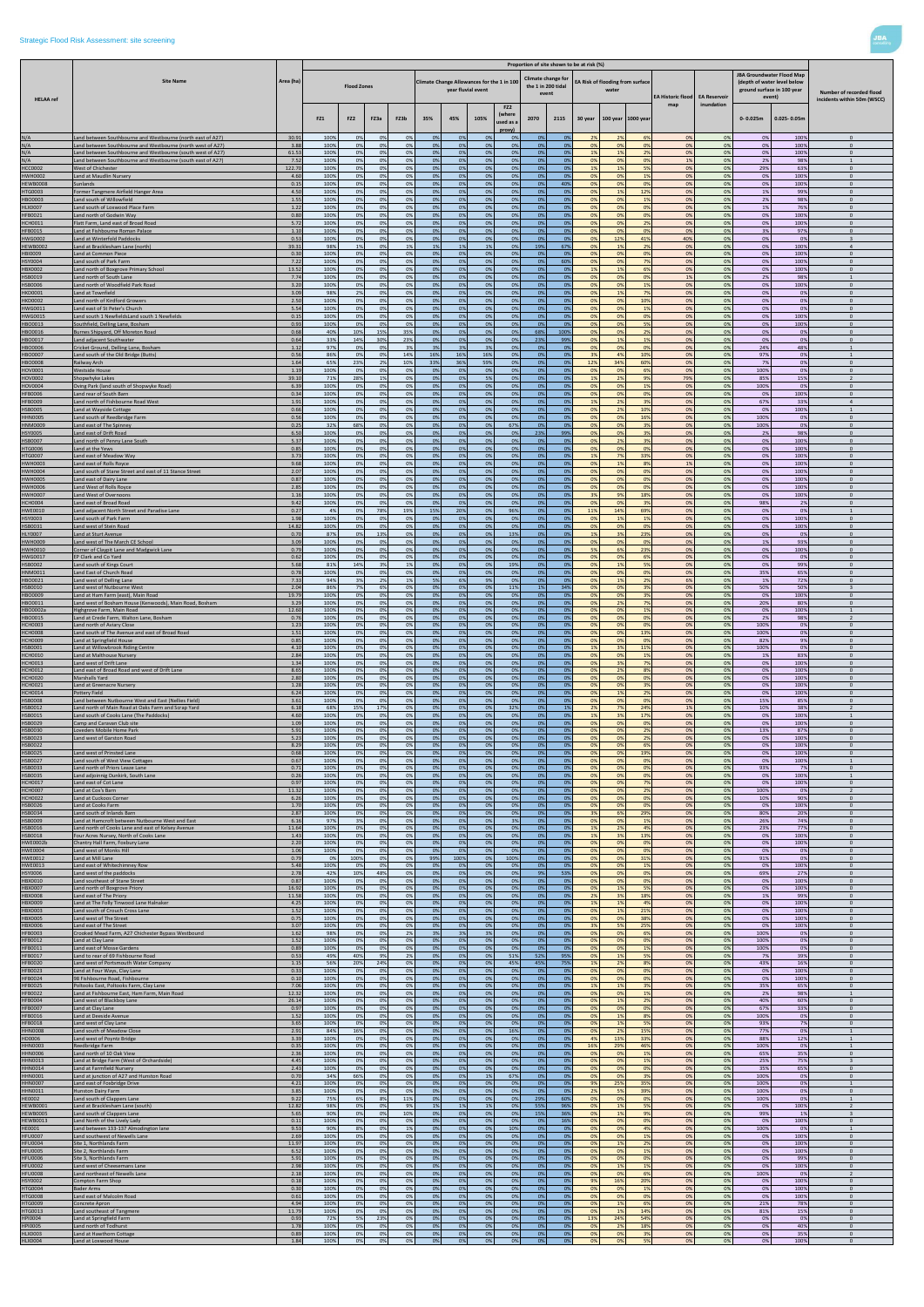|                    |                                                                                                                          |                  |              |                    |          |          |          |                    |                                            |                                        |                                                   |                | Proportion of site shown to be at risk (%) |                       |                    |                          |                     |                                                                                                  |                          |                             |
|--------------------|--------------------------------------------------------------------------------------------------------------------------|------------------|--------------|--------------------|----------|----------|----------|--------------------|--------------------------------------------|----------------------------------------|---------------------------------------------------|----------------|--------------------------------------------|-----------------------|--------------------|--------------------------|---------------------|--------------------------------------------------------------------------------------------------|--------------------------|-----------------------------|
|                    | <b>Site Name</b>                                                                                                         | Area (ha)        |              | <b>Flood Zones</b> |          |          |          | year fluvial event | Climate Change Allowances for the 1 in 100 |                                        | Climate change for<br>the 1 in 200 tidal<br>event |                | EA Risk of flooding from surface           | water                 |                    | <b>EA Historic flood</b> | <b>EA Reservoir</b> | JBA Groundwater Flood Map<br>(depth of water level below<br>ground surface in 100 year<br>event) | Number of recorded flood |                             |
| <b>HELAA</b> ref   |                                                                                                                          |                  | FZ1          | FZ <sub>2</sub>    | FZ3a     | FZ3b     | 35%      | 45%                | 105%                                       | FZ <sub>2</sub><br>(where<br>used as a | 2070                                              | 2115           | 30 year                                    |                       | 100 year 1000 year | map                      | inundation          | $0 - 0.025m$                                                                                     | $0.025 - 0.05m$          | incidents within 50m (WSCC) |
| N/A                | and between Southbourne and Westbourne (north east of A27)                                                               | 30.91            | 100%         | 0%                 | 0%       | 0%       | 0%       | 0%                 | 0%                                         | proxy)<br>0%                           | 0%                                                | 0%             | -29                                        |                       | 6%                 | 0%                       | 0%                  | 0%                                                                                               | 100%                     | $\mathbf{0}$                |
| N/A<br>N/A         | and between Southbourne and Westbourne (north west of A27)                                                               | 3.88             | 100%         | 0%                 | 0%       | 0%<br>0% | 0%       | 0%<br>0%           | 0%                                         | 0%<br>0%                               | 0%<br>0%                                          | 0%<br>0%       | 0%<br>19                                   | 0%                    | 0%                 | 0%<br>0%                 | 0%                  | 0%                                                                                               | 100%                     | $\Omega$<br>$\Omega$        |
| N/A                | and between Southbourne and Westbourne (south west of A27)<br>and between Southbourne and Westbourne (south east of A27) | 61.53<br>7.52    | 100%<br>100% | 0%<br>0%           | 0%<br>0% | 0%       | 0%<br>0% | 0%                 | 0%<br>0%                                   | 0%                                     | 0%                                                | 0%             | 0%                                         | 19<br>0%              | 0%                 | 1%                       | 0%<br>0%            | 0%<br>2%                                                                                         | 100%<br>98%              | $\overline{1}$              |
| <b>HCC0002</b>     | <b>Nest of Chichester</b>                                                                                                | 122.70           | 100%         | 0%                 | 0%       | 0%       | 0%       | 0%                 | 0%                                         | 0%                                     | 0%                                                | 0%             | 1%                                         | 1%                    | 5%                 | 0%                       | 0%                  | 29%                                                                                              | 63%                      | $\mathbf{0}$                |
| <b>HWH0002</b>     | and at Maudlin Nursery                                                                                                   | 4.60             | 100%         | 0%                 | 0%       | 0%       | 0%       | 0%                 | 0%                                         | 0%                                     | 0%                                                | 0%             | 0%                                         | 0%                    | 1%                 | 0%                       | 0%                  | 0%                                                                                               | 100%                     | $\mathbf{0}$                |
| <b>HEWB0008</b>    | Sunlands                                                                                                                 | 0.15             | 100%         | 0%                 | 0%       | 0%       | 0%       | 0%                 | 0%                                         | 0%                                     | 0%                                                | 40%            | 0%                                         | 0%                    | 0%                 | 0%                       | 0%                  | 0%                                                                                               | 100%                     | $\mathbf{0}$                |
| <b>HTG0003</b>     | Former Tangmere Airfield Hanger Area                                                                                     | 4.5 <sub>0</sub> | 100%         | 0%                 | 0%       | 0%       | 0%       | 0%                 | 0%                                         | 0%                                     | 0 <sup>9</sup>                                    | 0 <sup>9</sup> | 0%                                         | 19                    | 129                | 0%                       | 0%                  | 1%                                                                                               | 99%                      | $\Omega$                    |
| HBO0003            | and south of Willowfield                                                                                                 | 1.55             | 100%         | 0%                 | 0%       | 0%       | 0%       | 0%                 | 0%                                         | 0%                                     | 0%                                                | 0%             | 0%                                         | 0%                    | <b>19</b>          | 0%                       | 0%                  | 2%                                                                                               | 98%                      | $\Omega$                    |
| <b>HLX0007</b>     | Land south of Loxwood Place Farm                                                                                         | 1.22             | 100%         | 0%                 | 0%       | 0%       | 0%       | 0%                 | 0%                                         | 0%                                     | 0%                                                | 0%             | 0%                                         | 0%                    | 0%                 | 0%                       | 0%                  | 1%                                                                                               | 76%                      | $\Omega$                    |
| HFB0021            | and north of Godwin Way                                                                                                  | 0.80             | 100%         | 0%                 | 0%       | 0%       | 0%       | 0%                 | 0%                                         | 0%                                     | 0%                                                | 0 <sup>9</sup> | 0%                                         | 0%                    | 0%                 | 0%                       | 0%                  | 0%                                                                                               | 100%                     | $\mathbf{0}$                |
| <b>CH0011</b>      | Flatt Farm, Land east of Broad Road                                                                                      | 5.72             | 100%         | 0%                 | 0%       | 0%       | 0%       | 0%                 | 0%                                         | 0%                                     | 0%                                                | 0%             | 0%                                         | 0%                    | 2%                 | 0%                       | 0%                  | 0%                                                                                               | 100%                     | $\mathbf{0}$                |
| HFB0015            | and at Fishbourne Roman Palace                                                                                           | 1.10             | 100%         | 0%                 | 0%       | 0%       | 0%       | 0%                 | 0%                                         | 0%                                     | 0%                                                | 0%             | 0%                                         | 0%                    | 0%                 | 0%                       | 0%                  | 3%                                                                                               | 97%                      | $\Omega$                    |
| HWG0002            | Land at Winterfold Paddocks                                                                                              | 0.53             | 100%         | 0%                 | 0%       | 0%       | 0%       | 0%                 | 0%                                         | 0%                                     | 0%                                                | 0%             | 0%                                         | 12%                   | 41%                | 40%                      | 0%                  | 0%                                                                                               | 0%                       | $\overline{3}$              |
| <b>HEWB0002</b>    | Land at Bracklesham Lane (north)                                                                                         | 39.31            | 98%          | 1%                 | 0%<br>0% | 1%       | 1%       | 1%                 | 1%                                         | 0%<br>0%                               | 19%                                               | 67%            | 0%                                         | 1%<br>$\Omega$ %      | 2%                 | 0%                       | 0%                  | 0%                                                                                               | 100%                     | $\overline{4}$<br>$\Omega$  |
| HBI0009<br>HSY0004 | and at Common Piece<br>and south of Park Farm                                                                            | 0.30<br>7.22     | 100%<br>100% | 0%<br>0%           | 0%       | 0%<br>0% | 0%<br>0% | 0%<br>0%           | 0%<br>0%                                   | 0%                                     | 0%<br>0%                                          | 0%<br>60%      | 0%<br>0%                                   | 0%                    | 0%<br>7%           | 0%<br>0%                 | 0%<br>0%            | 0%<br>0%                                                                                         | 100%<br>100%             | $\mathbf{0}$                |
| <b>HBX0002</b>     | and north of Boxgrove Primary School                                                                                     | 13.52            | 100%         | 0%                 | 0%       | 0%       | 0%       | 0%                 | 0%                                         | 0%                                     | 0%                                                | 0%             | 1%                                         | 1%                    | 6%                 | 0%                       | 0%                  | 0%                                                                                               | 100%                     | $\mathbf{0}$                |
| HSB0019            | and north of South Lane                                                                                                  | 7.74             | 100%         | 0%                 | 0%       | 0%       | 0%       | 0%                 | 0%                                         | 0%                                     | 0%                                                | 0 <sup>9</sup> | 0%                                         | 0%                    | O <sup>9</sup>     | 1%                       | 0%                  | 2%                                                                                               | 98%                      |                             |
| HSB0006            | and north of Woodfield Park Road                                                                                         | 3.20             | 100%         | 0%                 | 0%       | 0%       | 0%       | 0%                 | 0%                                         | 0%                                     | 0%                                                | 0%             | 0%                                         | 0%                    | 1%                 | 0%                       | 0%                  | 0%                                                                                               | 100%                     | $\Omega$                    |
| <b>HKD0001</b>     | Land at Townfield                                                                                                        | 3.09             | 98%          | 2%                 | 0%       | 0%       | 0%       | 0%                 | 0%                                         | 0%                                     | 0%                                                | 0%             | 0%                                         | 1%                    | 7%                 | 0%                       | 0%                  | 0%                                                                                               | 0%                       | $\overline{0}$              |
| <b>IKD0002</b>     | and north of Kirdford Growers                                                                                            | 2.50             | 100%         | 0%                 | 0%       | 0%       | 0%       | 0%                 | 0%                                         | 0%                                     | 0%                                                | 0 <sup>9</sup> | 0%                                         | 0%                    | 10%                | 0%                       | 0%                  | 0%                                                                                               | 0%                       | $\Omega$                    |
| <b>HWG0011</b>     | Land east of St Peter's Church                                                                                           | 5.54             | 100%         | 0%                 | 0%       | 0%       | 0%       | 0%                 | 0%                                         | 0%                                     | 0%                                                | 0%             | 0%                                         | 0%                    | 1%                 | 0%                       | 0%                  | 0%                                                                                               | 0%                       | $\Omega$                    |
| HWG0015            | Land south 1 NewfieldsLand south 1 Newfields                                                                             | 0.15             | 100%         | 0%                 | 0%       | 0%       | 0%       | 0%                 | 0%                                         | 0%                                     | 0%                                                | 0%             | 0%                                         | 0%                    | 0%                 | 0%                       | 0%                  | 0%                                                                                               | 100%                     | $\overline{0}$              |
| HBO0013            | Southfield, Delling Lane, Bosham                                                                                         | 0.93             | 100%         | 0%                 | 0%       | 0%       | 0%       | 0%                 | 0%                                         | 0%                                     | 0%                                                | 0 <sup>9</sup> | 0%                                         | $\Omega$ <sup>9</sup> |                    | 0%                       | 0%                  | 0%                                                                                               | 100%                     | $\Omega$                    |
| <b>IBO0016</b>     | Burnes Shipyard, Off Moreton Road                                                                                        | 0.68             | 40%          | 10%                | 15%      | 35%      | 0%       | 0%                 | 0%                                         | 0%                                     | 68%                                               | 100%           | 0%                                         | 0%                    | 2%                 | 0%                       | 0%                  | 0%                                                                                               | 0%                       | $\mathbf{0}$                |
| BO0017             | and adjacent Southwater.                                                                                                 | 0.64             | 33%          | 14%                | 30%      | 23%      | 0%       | 0%                 | 0%                                         | 0%                                     | 23%                                               | 99%            | 0%                                         | 1%                    | 1%                 | 0%                       | 0%                  | 0%                                                                                               | 0%                       | $\Omega$                    |
| <b>BO0006</b>      | Cricket Ground, Delling Lane, Bosham                                                                                     | 1.12             | 97%          | 0%                 | 0%       | 3%       | 3%       | 3%                 | 3%                                         | 0%                                     | 0%                                                | 0 <sup>9</sup> | 0%                                         | 0%                    | 0%                 | 0%                       | 0%                  | 24%                                                                                              | 48%                      |                             |
| <b>IBO0007</b>     | and south of the Old Bridge (Butts)                                                                                      | 0.56             | 86%          | 0%                 | 0%       | 14%      | 16%      | 16%                | 16%                                        | 0%                                     | 0%                                                | 0%             | 3%                                         | 4%                    | 10%                | 0%                       | 0%                  | 97%                                                                                              | 0%                       | $\Omega$                    |
| <b>BO0008</b>      | Railway Arch                                                                                                             | 1.64             | 65%          | 23%                | 2%       | 10%      | 33%      | 36%                | 59%                                        | 0%                                     | 0%                                                | 0%             | 12%                                        | 349                   | 60%                | 0%                       | 0%                  | 7%                                                                                               | 0%                       |                             |
| HOV0001            | Westside House                                                                                                           | 1.19             | 100%         | 0%                 | 0%       | 0%       | 0%       | 0%                 | 0%                                         | 0%                                     | 0%                                                | 0%             | 0%                                         | 0%                    | 6%                 | 0%                       | 0%                  | 100%                                                                                             | 0%                       | $\Omega$                    |
| HOV0002            | Shopwhyke Lakes                                                                                                          | 39.10            | 71%          | 28%                | 1%       | 0%       | 0%       | 0%                 | 5%                                         | 0%                                     | 0%                                                | 0%             | 1%                                         | 2%                    | 9%                 | 79%                      | 0%                  | 85%                                                                                              | 15%                      | $\overline{2}$              |
| HOV0004            | Oving Park (land south of Shopwyke Road)                                                                                 | 6.39             | 100%         | 0%                 | 0%       | 0%       | 0%       | 0%                 | 0%                                         | 0%                                     | 0%                                                | 0%             | 0%                                         | 0%                    | 1%                 | 0%                       | 0%                  | 100%                                                                                             | 0%                       | $\mathbf{0}$                |
| <b>HFB0006</b>     | and rear of South Barn                                                                                                   | 0.34             | 100%         | 0%                 | 0%       | 0%       | 0%       | 0%                 | 0%                                         | 0%                                     | 0%                                                | 0%             | 0%                                         | 0%                    | 0%                 | 0%                       | 0%                  | 0%                                                                                               | 100%                     | $\mathbf{0}$                |
| HFB0009            | and north of Fishbourne Road West                                                                                        | 1.91             | 100%         | 0%                 | 0%       | 0%       | 0%       | 0%                 | 0%                                         | 0%                                     | 0%                                                | 0%             | 1%                                         | 29                    | 3%                 | 0%                       | 0%                  | 67%                                                                                              | 33%                      | $\Delta$                    |
| HSB0005            | Land at Wayside Cottage                                                                                                  | 0.66             | 100%         | 0%                 | 0%       | 0%       | 0%       | 0%                 | 0%                                         | 0%                                     | 0%                                                | 0%             | 0%                                         | 2%                    | 10%                | 0%                       | 0%                  | 0%                                                                                               | 100%                     |                             |
| HN0005             | and south of Reedbridge Farm                                                                                             | 0.56             | 100%         | 0%                 | 0%       | 0%       | 0%       | 0%                 | 0%                                         | 0%                                     | 0%                                                | 0%             | 0%                                         | 0%                    | 16%                | 0%                       | 0%                  | 100%                                                                                             | 0%                       | $\mathbf{0}$                |
| INM0009            | Land east of The Spinney                                                                                                 | 0.25             | 32%          | 68%                | 0%       | 0%       | 0%       | 0%                 | 0%                                         | 67%                                    | 0%                                                | 0%             | 0%                                         | 0%                    | 3%                 | 0%                       | 0%                  | 100%                                                                                             | 0%                       | $\overline{0}$              |
| HSY0005            | and east of Drift Road                                                                                                   | 6.50             | 100%         | 0%                 | 0%       | 0%       | 0%       | 0%                 | 0%                                         | 0%                                     | 23%                                               | 99%            | 0%                                         | 0%                    | 3%                 | 0%                       | 0%                  | 2%                                                                                               | 98%                      | $\Omega$                    |
| HSB0007            | Land north of Penny Lane South                                                                                           | 5.37             | 100%         | 0%                 | 0%       | 0%       | 0%       | 0%                 | 0%                                         | 0%                                     | 0%                                                | 0%             | 0%                                         | 2%                    | 3%                 | 0%                       | 0%                  | 0%                                                                                               | 100%                     | $\mathbf{0}$                |
| HTG0006            | Land at the Yews                                                                                                         | 0.85             | 100%         | 0%                 | 0%       | 0%       | 0%       | 0%                 | 0%                                         | 0%                                     | 0%                                                | 0%             | 0%                                         | 0%                    | 0%                 | 0%                       | 0%                  | 0%                                                                                               | 100%                     | $\Omega$                    |
| HTG0007            | and east of Meadow Way                                                                                                   | 3.73             | 100%         | 0%                 | 0%       | 0%       | 0%       | 0%                 | 0%                                         | 0%                                     | 0%                                                | 0%             | 1%                                         | 7%                    | 33%                | 0%                       | 0%                  | 0%                                                                                               | 100%                     | $\mathbf{0}$                |
| HWH0003            | Land east of Rolls Royce                                                                                                 | 9.68             | 100%         | 0%                 | 0%       | 0%       | 0%       | 0%                 | 0%                                         | 0%                                     | 0%                                                | 0%             | 0%                                         | 1%                    | 8%                 | 1%                       | 0%                  | 0%                                                                                               | 100%                     | $\mathbf{0}$                |
| <b>NWH0004</b>     | and south of Stane Street and east of 11 Stance Street                                                                   | 2.07             | 100%         | 0%                 | 0%       | 0%       | 0%       | 0%                 | 0%                                         | 0%                                     | 0%                                                | $^{\Omega}$    | 0%                                         | $\Omega$              | 0%                 | 0%                       | 0%                  | 0%                                                                                               | 1009                     | $\mathbf{0}$                |
| HWH0005            | and east of Dairy Lane                                                                                                   | 0.87             | 100%         | 0%                 | 0%       | 0%       | 0%       | 0%                 | 0%                                         | 0%                                     | 0%                                                | 0%             | 0%                                         | 0%                    | 0%                 | 0%                       | 0%                  | 0%                                                                                               | 100%                     | $\Omega$                    |
| <b>HWH0006</b>     | Land West of Rolls Royce                                                                                                 | 2.85             | 100%         | 0%                 | 0%       | 0%       | 0%       | 0%                 | 0%                                         | 0%                                     | 0%                                                | 0%             | 0%                                         | 0%                    | 0%                 | 0%                       | 0%                  | 0%                                                                                               | 100%                     | $\overline{0}$              |
| <b>HWH0007</b>     | Land West of Overnoons                                                                                                   | 1.16             | 100%         | 0%                 | 0%       | 0%       | 0%       | 0%                 | 0%                                         | 0%                                     | 0%                                                | 0%             | 3%                                         | 9%                    | 18%                | 0%                       | 0%                  | 0%                                                                                               | 100%                     | $\Omega$                    |
| <b>CH0004</b>      | and east of Broad Road                                                                                                   | 9.42             | 100%         | 0%                 | 0%       | 0%       | 0%       | 0%                 | 0%                                         | 0%                                     | 0%                                                | 0%             | 0%                                         | 0%                    | 3%                 | 0%                       | 0%                  | 98%                                                                                              | 2%                       | $\mathbf{0}$                |
| <b>HWE0010</b>     | Land adjacent North Street and Paradise Lane                                                                             | 0.27             | 4%           | 0%                 | 78%      | 19%      | 15%      | 20%                | 0%                                         | 96%                                    | 0%                                                | 0%             | 11%                                        | 14%                   | 69%                | 0%                       | 0%                  | 0%                                                                                               | 0%                       | 1                           |
| HSY0003            | and south of Park Farm                                                                                                   | 1.98             | 100%         | 0%                 | 0%       | 0%       | 0%       | 0%                 | 0%                                         | 0%                                     | 0%                                                | 0%             | 0%                                         | 19                    | 19                 | 0%                       | 0%                  | 0%                                                                                               | 100%                     | $\Omega$                    |
| HSB0031            | Land west of Stein Road                                                                                                  | 14.82            | 100%         | 0%                 | 0%       | 0%       | 0%       | 0%                 | 0%                                         | 0%                                     | 0%                                                | 0%             | 0%                                         | 0%                    | 0%                 | 0%                       | 0%                  | 0%                                                                                               | 100%                     | $\Omega$                    |
| HLY0007            | Land at Sturt Avenue                                                                                                     | 0.70             | 87%          | 0%                 | 13%      | 0%       | 0%       | 0%                 | 0%                                         | 13%                                    | 0%                                                | 0%             | 1%                                         | 3%                    | 23%                | 0%                       | 0%                  | 0%                                                                                               | 0%                       | $\Omega$                    |
| HWH0009            | Land west of The March CE School                                                                                         | 3.09             | 100%         | 0%                 | 0%       | 0%       | 0%       | 0%                 | 0%                                         | 0%                                     | 0 <sup>9</sup>                                    | 0%             | 0%                                         | 0%                    | 0%                 | 0%                       | 0%                  | 1%                                                                                               | 93%                      | $\Omega$                    |
| HWH0010            | Corner of Clavpit Lane and Madgwick Lane                                                                                 | 0.79             | 100%         | 0%                 | 0%       |          | 0%       | 0%                 | 0%                                         | 0%                                     | 0%                                                | 0%             | 59                                         | 6%                    | 23%                | 0%                       | 0%                  | 0%                                                                                               | 100%                     | $\Omega$                    |
| HWG0017            | EP Clark and Co Yard                                                                                                     | 0.62             | 100%         | 0%                 | 0%       | 0%       | 0%       | 0%                 | 0%                                         | 0%                                     | 0%                                                | 0%             | 0%                                         | 0%                    | 6%                 | 0%                       | 0%                  | 0%                                                                                               | 0%                       | $\mathbf{0}$                |
| HSB0002            | and south of Kings Court                                                                                                 | 5.68             | 81%          | 14%                | 3%       | 1%       | 0%       | 0%                 | 0%                                         | 19%                                    | 0%                                                | 0%             | 0%                                         | 1%                    | 5%                 | 0%                       | 0%                  | 0%                                                                                               | 99%                      |                             |
| HNM0011            | and East of Church Road                                                                                                  | 0.78             | 100%         | 0%                 | 0%       | 0%       | 0%       | 0%                 | 0%                                         | 0%                                     | 0%                                                | 0%             | 0%                                         | 0%                    | 0%                 | 0%                       | 0%                  | 35%                                                                                              | 65%                      | $\Omega$                    |
| HBO0021            | and west of Delling Lane                                                                                                 | 7.33             | 94%          | 3%                 | 2%       | 1%       | 5%       | 6%                 | 9%                                         | 0%                                     | 0%                                                | 0%             | 0%                                         | 1%                    | 2%                 | 6%                       | 0%                  | 1%                                                                                               | 72%                      | $\mathbf{0}$                |
| HSB0010            | and west of Nutbourne West                                                                                               | 2.04             | 86%          | 7%                 | 6%       | 0%       | 0%       | 0%                 | 0%                                         | 11%                                    | 1%                                                | 34%            | 0%                                         | 0%                    | 3%                 | 0%                       | 0%                  | 50%                                                                                              | 50%                      | $\overline{3}$              |
| HBO0009            | Land at Ham Farm (east), Main Road                                                                                       | 19.79            | 100%         | 0%                 | 0%       | 0%       | 0%       | 0%                 | 0%                                         | 0%                                     | 0%                                                | 0%             | 0%                                         | 0%                    | 3%                 | 0%                       | 0%                  | 0%                                                                                               | 100%                     | $\mathbf{0}$                |
| HBO0011            | Land west of Bosham House (Kenwoods), Main Road, Bosham                                                                  | 3.29             | 100%         | 0%                 | 0%       | 0%       | 0%       | 0%                 | 0%                                         | 0%                                     | 0%                                                | 0%             | 0%                                         | 2%                    | 7%                 | 0%                       | 0%                  | 20%                                                                                              | 80%                      | $\overline{0}$              |
| HBO0002a           | lighgrove Farm, Main Road                                                                                                | 12.60            | 100%         | 0%                 | 0%       | 0%       | 0%       | 0%                 | 0%                                         | 0%                                     | 0%                                                | 0%             | 0%                                         | 0%                    | 1%                 | 0%                       | 0%                  | 0%                                                                                               | 100%                     | $\overline{2}$              |
| HBO0015            | Land at Crede Farm, Walton Lane, Bosham                                                                                  | 0.76             | 100%         | 0%                 | 0%       | 0%       | 0%       | 0%                 | 0%                                         | 0%                                     | 0%                                                | 0%             | 0%                                         | 0%                    | 0%                 | 0%                       | 0%                  | 2%                                                                                               | 98%                      |                             |
| <b>HCH0003</b>     | Land north of Aviary Close                                                                                               | 1.23             | 100%         | 0%                 | 0%       | 0%       | 0%       | 0%                 | 0%                                         | 0%                                     | 0%                                                | 0%             | 0%                                         | 0%                    | 0%                 | 0%                       | 0%                  | 100%                                                                                             | 0%                       | $\Omega$                    |
| <b>HCH0008</b>     | Land south of The Avenue and east of Broad Road                                                                          | 1.51             | 100%         | 0%                 | 0%       | 0%       | 0%       | 0%                 | 0%                                         | 0%                                     | 0%                                                | 0%             | 0%                                         | 0%                    | 139                | 0%                       | 0%                  | 100%                                                                                             | 0%                       | $\Omega$                    |
| <b>HCH0009</b>     | Land at Springfield House                                                                                                | 0.85             | 100%         | 0%                 | 0%       | 0%       | 0%       | 0%                 | 0%                                         | 0%                                     | 0%                                                | 0%             | 0%                                         | 0%                    | 0%                 | 0%                       | 0%                  | 82%                                                                                              | 9%                       | $\overline{0}$              |
| HSB0001            | Land at Willowbrook Riding Centre                                                                                        | 4.10             | 100%         | 0%                 | 0%       | 0%       | 0%       | 0%                 | 0%                                         | 0%                                     | 0%                                                | 0%             | 1%                                         | 3%                    | 11%                | 0%                       | 0%                  | 100%                                                                                             | 0%                       | $\mathbf{0}$                |
| HCH0010            | Land at Malthouse Nursery                                                                                                | 2.84             | 100%         | 0%                 | 0%       | 0%       | 0%       | 0%                 | 0%                                         | 0%                                     | 0%                                                | 0%             | 0%                                         | 0%                    | 1%                 | 0%                       | 0%                  | 1%                                                                                               | 83%                      | $\overline{0}$              |
| <b>HCH0013</b>     | and west of Drift Lane                                                                                                   | 1.34             | 100%         | 0%                 | 0%       | 0%       | 0%       | 0%                 | 0%                                         | 0%                                     | 0%                                                | 0%             | 0%                                         | 3%                    | 7%                 | 0%                       | 0%                  | 0%                                                                                               | 100%                     | $\mathbf{0}$                |
| <b>HCH0012</b>     | and east of Broad Road and west of Drift Lane                                                                            | 8.65             | 100%         | 0%                 | 0%       | 0%       | 0%       | 0%                 | 0%                                         | 0%                                     | 0%                                                | 0%             | 0%                                         | 2%                    | 8%                 | 0%                       | 0%                  | 0%                                                                                               | 100%                     | $\Omega$                    |
| <b>HCH0020</b>     | Marshalls Yard                                                                                                           | 2.80             | 100%         | 0%                 | 0%       | 0%       | 0%       | 0%                 | 0%                                         | 0%                                     | 0%                                                | 0%             | 0%                                         | 0%                    | 0%                 | 0%                       | 0%                  | 0%                                                                                               | 100%                     | $\mathbf{0}$                |
| <b>HCH0021</b>     | Land at Greenacre Nursery                                                                                                | 1.28             | 100%         | 0%                 | 0%       | 0%       | 0%       | 0%                 | 0%                                         | 0%                                     | 0%                                                | 0%             | 0%                                         | 0%                    | 3%                 | 0%                       | 0%                  | 0%                                                                                               | 100%                     | $\Omega$                    |
| <b>HCH0014</b>     | Pottery Field                                                                                                            | 6.24             | 100%         | 0%                 | 0%       | 0%       | 0%       | 0%                 | 0%                                         | 0%                                     | 0%                                                | 0%             | 0%                                         | 1%                    | 2%                 | 0%                       | 0%                  | 0%                                                                                               | 100%                     | $\Omega$                    |
| HSB0008            | and between Nutbourne West and East (Nellies Field).                                                                     | 3.61             | 100%         | 0%                 | 0%       | 0%       | 0%       | 0%                 | 0%                                         | 0%                                     | 0%                                                | 0%             | 0%                                         | 0%                    | 0%                 | 0%                       | 0%                  | 15%                                                                                              | 85%                      | $\mathbf{0}$                |
| HSB0012            | Land north of Main Road at Oaks Farm and Scrap Yard                                                                      | 6.18             | 68%          | 15%                | 17%      | 0%       | 0%       | 0%                 | 0%                                         | 32%                                    | 0%                                                | 1%             | 2%                                         | 7%                    | 24%                | 1%                       | 0%                  | 10%                                                                                              | 38%                      | $\overline{\phantom{a}}$    |
| HSB0015            | and south of Cooks Lane (The Paddocks)                                                                                   | 4.60             | 100%         | 0%                 | 0%       | 0%       | 0%       | 0%                 | 0%                                         | 0%                                     | 0%                                                | 0%             | 1%                                         | 3%                    | 17%                | 0%                       | 0%                  | 0%                                                                                               | 100%                     |                             |
| HSB0029            | Camp and Caravan Club site                                                                                               | 1.09             | 100%         | 0%                 | 0%       | 0%       | 0%       | 0%                 | 0%                                         | 0%                                     | 0%                                                | 0%             | 0%                                         | 0%                    | 0%                 | 0%                       | 0%                  | 0%                                                                                               | 100%                     | $\Omega$                    |
| <b>HSB0030</b>     | Loveders Mobile Home Park                                                                                                | 5.91             | 100%         | 0%                 | 0%       | 0%       | 0%       | 0%                 | 0%                                         | 0%                                     | 0%                                                | 0%             | 0%                                         | 0%                    | 2%                 | 0%                       | 0%                  | 13%                                                                                              | 87%                      | $\mathbf{0}$                |
| HSB0023            | Land west of Garston Road                                                                                                | 5.23             | 100%         | 0%                 | 0%       | 0%       | 0%       | 0%                 | 0%                                         | 0%                                     | 0%                                                | 0%             | 0%                                         | 0%                    | 2%                 | 0%                       | 0%                  | 0%                                                                                               | 100%                     | $\Omega$                    |
| HSB0022            |                                                                                                                          | 8.29             | 100%         | 0%                 | 0%       | 0%       | 0%       | 0%                 | 0%                                         | 0%                                     | 0%                                                | 0%             | 0%                                         | 0%                    | 6%                 | 0%                       | 0%                  | 0%                                                                                               | 100%                     | $\mathbf{0}$                |
| HSB0025            | Land west of Prinsted Lane                                                                                               | 0.68             | 100%         | 0%                 | 0%       | 0%       | 0%       | 0%                 | 0%                                         | 0%                                     | 0%                                                | 0%             | 0%                                         | 0%                    | 19%                | 0%                       | 0%                  | 0%                                                                                               | 100%                     | $\Omega$                    |
| HSB0027            | Land south of West View Cottages                                                                                         | 0.67             | 100%         | 0%                 | 0%       | 0%       | 0%       | 0%                 | 0%                                         | 0%                                     | 0%                                                | 0%             | 0%                                         | 0%                    | 0%                 | 0%                       | 0%                  | 0%                                                                                               | 100%                     | 1                           |
| HSB0033            | Land north of Priors Leaze Lane                                                                                          | 0.71             | 100%         | 0%                 | 0%       | 0%       | 0%       | 0%                 | 0%                                         | 0%                                     | 0%                                                | 0%             | 0%                                         | 0%                    | 0%                 | 0%                       | 0%                  | 93%                                                                                              | 7%                       | $\overline{0}$              |
| HSB0035            | and adjoinnig Dunkirk, South Lane                                                                                        | 0.26             | 100%         | 0%                 | 0%       | 0%       | 0%       | 0%                 | 0%                                         | 0%                                     | 0%                                                | 0%             | 0%                                         | 0%                    | 0%                 | 0%                       | 0%                  | 0%                                                                                               | 100%                     | $\overline{1}$              |
| <b>HCH0017</b>     | Land east of Cot Lane                                                                                                    | 0.97             | 100%         | 0%                 | 0%       | 0%       | 0%       | 0%                 | 0%                                         | 0%                                     | 0%                                                | 0%             | 0%                                         | 0%                    | 7%                 | 0%                       | 0%                  | 0%                                                                                               | 100%                     | $\overline{0}$              |
| <b>HCH0007</b>     | Land at Cox's Barn                                                                                                       | 11.32            | 100%         | 0%                 | 0%       | 0%       | 0%       | 0%                 | 0%                                         | 0%                                     | 0%                                                | 0%             | 0%                                         | 0%                    | 2%                 | 0%                       | 0%                  | 100%                                                                                             | 0%                       | $\overline{2}$              |
| <b>HCH0022</b>     | Land at Cuckoos Corner                                                                                                   | 6.26             | 100%         | 0%                 | 0%       | 0%       | 0%       | 0%                 | 0%                                         | 0%                                     | 0%                                                | 0%             | 0%                                         | 0%                    | 0%                 | 0%                       | 0%                  | 10%                                                                                              | 90%                      | $\Omega$                    |
| HSB0026            | Land at Cooks Farm                                                                                                       | 1.70             | 100%         | 0%                 | 0%       | 0%       | 0%       | 0%                 | 0%                                         | 0%                                     | 0%                                                | 0%             | 0%                                         | 0%                    | 0%                 | 0%                       | 0%                  | 0%                                                                                               | 100%                     | $\Omega$                    |
| HSB0034            | Land south of Inlands Barn                                                                                               | 2.87             | 100%         | 0%                 | 0%       | 0%       | 0%       | 0%                 | 0%                                         | 0%                                     | 0%                                                | 0%             | 3%                                         | 6%                    | 29%                | 0%                       | 0%                  | 80%                                                                                              | 20%                      | $\Omega$                    |
| HSB0009            | Land at Hamcroft between Nutbourne West and East                                                                         | 6.16             | 97%          | 3%                 | 0%       | 0%       | 0%       | 0%                 | 0%                                         | 3%                                     | 0%                                                | 0%             | 0%                                         | 0%                    | 1%                 | 0%                       | 0%                  | 26%                                                                                              | 74%                      | $\Omega$                    |
| HSB0016            | and north of Cooks Lane and east of Kelsey Avenue                                                                        | 11.64            | 100%         | 0%                 | 0%       | 0%       | 0%       | 0%                 | 0%                                         | 0%                                     | 0%                                                | 0%             | 1%                                         | 2%                    | 4%                 | 0%                       | 0%                  | 23%                                                                                              | 77%                      | $\overline{0}$              |
| HSB0018            | Four Acres Nursey, North of Cooks Lane                                                                                   | 1.43             | 100%         | 0%                 | 0%       | 0%       | 0%       | 0%                 | 0%                                         | 0%                                     | 0%                                                | 0%             | 1%                                         | 3%                    | 13%                | 0%                       | 0%                  | 0%                                                                                               | 100%                     | $\mathbf{0}$                |
| <b>HWE0002b</b>    | Chantry Hall Farm, Foxbury Lane                                                                                          | 2.20             | 100%         | 0%                 | 0%       | 0%       | 0%       | 0%                 | 0%                                         | 0%                                     | 0%                                                | 0%             | 0%                                         | 0%                    | 0%                 | 0%                       | 0%                  | 0%                                                                                               | 100%                     | $\Omega$                    |
| <b>HWE0004</b>     | Land west of Monks Hill                                                                                                  | 1.06             | 100%         | 0%                 | 0%       | 0%       | 0%       | 0%                 | 0%                                         | 0%                                     | 0%                                                | 0%             | 0%                                         | 0%                    | 0%                 | 0%                       | 0%                  | 0%                                                                                               | 0%                       | $\mathbf{0}$                |
| HWE0012            | Land at Mill Lane                                                                                                        | 0.79             | 0%           | 100%               | 0%       | 0%       | 99%      | 100%               | 0%                                         | 100%                                   | 0%                                                | 0%             | 0%                                         | 0%                    | 31%                | 0%                       | 0%                  | 91%                                                                                              | 0%                       | $\Omega$                    |
| <b>HWE0013</b>     | Land east of Whitechimney Row                                                                                            | 5.48             | 100%         | 0%                 | 0%       | 0%       | 0%       | 0%                 | 0%                                         | 0%                                     | 0%                                                | 0%             | 0%                                         | 0%                    | 1%                 | 0%                       | 0%                  | 0%                                                                                               | 100%                     | $\mathbf{0}$                |
| <b>HSY0006</b>     | Land west of the paddocks                                                                                                | 2.78             | 42%          | 10%                | 48%      | 0%       | 0%       | 0%                 | 0%                                         | 0%                                     | 99                                                | 53%            | 0%                                         | 0%                    | 0%                 | 0%                       | 0%                  | 69%                                                                                              | 27%                      | $\Omega$                    |
| HBX0010            | and southeast of Stane Street                                                                                            | 0.87             | 100%         | 0%                 | 0%       | 0%       | 0%       | 0%                 | 0%                                         | 0%                                     | 0%                                                | 0%             | 0%                                         | 0%                    | 0%                 | 0%                       | 0%                  | 0%                                                                                               | 100%                     | $\Omega$                    |
| HBX0007            | Land north of Boxgrove Priory                                                                                            | 16.92            | 100%         | 0%                 | 0%       | 0%       | 0%       | 0%                 | 0%                                         | 0%                                     | 0%                                                | 0%             | 0%                                         | 1%                    | 5%                 | 0%                       | 0%                  | 0%                                                                                               | 100%                     | $\mathbf{0}$                |
| HBX0008            | Land east of The Priory                                                                                                  | 11.58            | 100%         | 0%                 | 0%       | 0%       | 0%       | 0%                 | 0%                                         | 0%                                     | 0%                                                | 0%             | 2%                                         | 3%                    | 18%                | 0%                       | 0%                  | 1%                                                                                               | 99%                      | $\Omega$                    |
| HBX0009            | Land at The Folly Tinwood Lane Halnaker                                                                                  | 4.25             | 100%         | 0%                 | 0%       | 0%       | 0%       | 0%                 | 0%                                         | 0%                                     | 0%                                                | 0%             | 1%                                         | 1%                    | 4%                 | 0%                       | 0%                  | 0%                                                                                               | 100%                     | $\mathbf{0}$                |
| HBX0003            | Land south of Crouch Cross Lane                                                                                          | 1.52             | 100%         | 0%                 | 0%       | 0%       | 0%       | 0%                 | 0%                                         | 0%                                     | 0%                                                | 0%             | 0%                                         | 1%                    | 21%                | 0%                       | 0%                  | 0%                                                                                               | 100%                     | $\Omega$                    |
| HBX0005            | Land west of The Street                                                                                                  | 0.75             | 100%         | 0%                 | 0%       | 0%       | 0%       | 0%                 | 0%                                         | 0%                                     | 0%                                                | 0%             | 0%                                         | 0%                    | 38%                | 0%                       | 0%                  | 0%                                                                                               | 100%                     | $\mathbf{0}$                |
| HBX0006            | Land east of The Street                                                                                                  | 3.07             | 100%         | 0%                 | 0%       | 0%       | 0%       | 0%                 | 0%                                         | 0%                                     | 0%                                                | 0%             | 3%                                         | 5%                    | 25%                | 0%                       | 0%                  | 0%                                                                                               | 100%                     | $\Omega$                    |
| <b>HFB0003</b>     | Crooked Mead Farm, A27 Chichester Bypass Westbound                                                                       | 1.62             | 98%          | 0%                 | 0%       | 2%       | 3%       | 3%                 | 3%                                         | 0%                                     | 0%                                                | 0%             | 0%                                         | 0%                    | 6%                 | 0%                       | 0%                  | 100%                                                                                             | 0%                       | $\mathbf{0}$                |
| HFB0012            | Land at Clay Lane                                                                                                        | 1.52             | 100%         | 0%                 | 0%       | 0%       | 0%       | 0%                 | 0%                                         | 0%                                     | 0%                                                | 0%             | 0%                                         | 0%                    | 0%                 | 0%                       | 0%                  | 100%                                                                                             | 0%                       | $\Omega$                    |
| HFB0011            | Land east of Mosse Gardens                                                                                               | 0.89             | 100%         | 0%                 | 0%       | 0%       | 0%       | 0%                 | 0%                                         | 0%                                     | 0%                                                | 0%             | 0%                                         | 0%                    | 1%                 | 0%                       | 0%                  | 100%                                                                                             | 0%                       | $\overline{0}$              |
| <b>HFB0017</b>     | Land to rear of 69 Fishbourne Road                                                                                       | 0.53             | 49%          | 40%                | 9%       | 2%       | 0%       | 0%                 | 0%                                         | 51%                                    | 52%                                               | 95%            | 0%                                         | 1%                    | 5%                 | 0%                       | 0%                  | 7%                                                                                               | 39%                      | $\mathbf{0}$                |
| <b>HFB0020</b>     | Land west of Portsmouth Water Company                                                                                    | 1.15             | 56%          | 20%                | 24%      | 0%       | 0%       | 0%                 | 0%                                         | 45%                                    | 45%                                               | 75%            | 1%                                         | 2%                    | 8%                 | 0%                       | 0%                  | 43%                                                                                              | 16%                      | $\Omega$                    |
| <b>HFB0023</b>     | Land at Four Ways, Clay Lane                                                                                             | 0.33             | 100%         | 0%                 | 0%       | 0%       | 0%       | 0%                 | 0%                                         | 0%                                     | 0%                                                | 0%             | 0%                                         | 0%                    | 0%                 | 0%                       | 0%                  | 0%                                                                                               | 100%                     | $\overline{0}$              |

HFB0024 98 Fishbourne Road, Fishbourne 0.10 100% 0% 0% 0% 0% 0% 0% 0% 0% 0% 0% 0% 0% 0% 0% 0% 100% 0

| <b>HFB0025</b>  | Poltooks East, Poltooks Farm, Clay Lane      | 7.06  | 100% | 0%  | 0%  | 0%  | 0% | 0%         | 0% | 0%  | 0%  | 0%             | 1%  | 1%         | 3%  | 0%                    | 0% | 35%  | 65%  |          |
|-----------------|----------------------------------------------|-------|------|-----|-----|-----|----|------------|----|-----|-----|----------------|-----|------------|-----|-----------------------|----|------|------|----------|
| <b>HFB0022</b>  | Land at Fishbourne East, Ham Farm, Main Road | 12.32 | 100% | 0%  | 0%  | 0%  | 0% | 0%         | 0% | 0%  | 0%  | 0%             | 0%  | 0%         | 1%  | 0%                    | 0% | 2%   | 98%  |          |
| <b>HFB0004</b>  | Land west of Blackboy Lane                   | 26.14 | 100% | 0%  | 0%  | 0%  | 0% | 0%         | 0% | 0%  | 0%  | 0%             | 0%  | 1%         | 2%  | 0%                    | 0% | 40%  | 60%  |          |
| <b>HFB0007</b>  | Land at Clav Lane                            | 0.97  | 100% | 0%  | 0%  | 0%  | 0% | 0%         | 0% | 0%  | 0%  | 0%             | 0%  | $\Omega$ % | 0%  | $\Omega$              | 0% | 67%  | 33%  |          |
| <b>HFB0016</b>  | Land at Deeside Avenue                       | 1.52  | 100% | 0%  | 0%  | 0%  | 0% | በ%         | 0% | 0%  | 0%  | <b>0%</b>      | 0%  | 1%         | 8%  | $\Omega$ <sup>9</sup> | 0% | 100% | 0%   |          |
| <b>HFB0018</b>  | Land west of Clay Lane                       | 3.65  | 100% | 0%  | 0%  | 0%  | 0% | 0%         | 0% | 0%  | 0%  | noc            | 0%  | 1%         | 5%  | $\Omega\%$            | 0% | 93%  | 7%   |          |
| <b>HHN0008</b>  | Land south of Meadow Close                   | 2.91  | 84%  | 16% | 0%  | 0%  | 0% | 0%         | 0% | 16% | 0%  | 0 <sub>%</sub> | 0%  | 2%         | 15% | 0%                    | 0% | 77%  | 0%   |          |
| HD0006          | Land west of Poyntz Bridge                   | 3.39  | 100% | 0%  | 0%  | 0%  | 0% | 0%         | 0% | 0%  | 0%  | 0%             | 4%  | 13%        | 33% | $\Omega$ <sup>9</sup> | 0% | 88%  | 12%  |          |
| <b>HHN0003</b>  | Reedbridge Farm                              | 0.35  | 100% | 0%  | 0%  | 0%  | 0% | 0%         | 0% | 0%  | 0%  | 0%             | 16% | 29%        | 46% | 0%                    | 0% | 100% | 0%   |          |
| <b>HHN0006</b>  | Land north of 10 Oak View                    | 2.36  | 100% | 0%  | 0%  | 0%  | 0% | 0%         | 0% | 0%  | 0%  | $\Omega$ %     | 0%  | $\Omega%$  | 1%  |                       | 0% | 65%  | 35%  |          |
| <b>HHN0013</b>  | Land at Bridge Farm (West of Orchardside)    | 4.45  | 100% | 0%  | 0%  | 0%  | 0% | 0%         | 0% | 0%  | 0%  | በ%             | 0%  | $\Omega$ % | 1%  |                       | 0% | 25%  | 75%  |          |
| <b>HHN0014</b>  | Land at Farmfield Nurserv                    | 2.43  | 100% | 0%  | በ%  | 0%  | 0% | $\Omega\%$ | 0% | 0%  | 0%  |                | 0%  | $\Omega$ % | 0%  |                       | 0% | 35%  | 65%  |          |
| <b>HHN0001</b>  | Land at junction of A27 and Hunston Road     | 0.70  | 34%  | 66% | 0%  | 0%  | 0% | 0%         | 1% | 67% | 0%  | 0 <sub>%</sub> | 0%  | 0%         | 3%  | $\Omega$ <sup>9</sup> | 0% | 100% | 0%   |          |
| <b>HHN0007</b>  | Land east of Foxbridge Drive                 | 4.21  | 100% | 0%  | 0%  | 0%  | 0% | 0%         | 0% | 0%  | 0%  | 0%             | 9%  | 25%        | 35% | 0%                    | 0% | 100% | 0%   |          |
| <b>HHN0011</b>  | <b>Hunston Dairy Farm</b>                    | 3.85  | 100% | 0%  | 0%  | 0%  | 0% | 0%         | 0% | 0%  | 0%  | 0%             | 2%  | 5%         | 39% | 0%                    | 0% | 100% | 0%   |          |
| <b>HE0002</b>   | Land south of Clappers Lane                  | 9.22  | 75%  | 6%  | 8%  | 11% | 0% | 0%         | 0% | 0%  | 29% | 60%            | 0%  | 0%         | 0%  | $\Omega$              | 0% | 100% | 0%   |          |
| <b>HEWB0001</b> | Land at Bracklesham Lane (south)             | 12.82 | 98%  | 0%  | 0%  | 9%  | 1% | 1%         | 1% | 0%  | 55% | 96%            | 0%  | 1%         | 5%  | $\Omega$ <sup>9</sup> | 0% | 0%   | 100% |          |
| <b>HEWB0005</b> | Land south of Clappers Lane                  | 5.65  | 90%  | 0%  | 0%  | 10% | 0% | 0%         | 0% | 0%  | 15% | 36%            | 0%  | 1%         | 9%  | $\Omega$              | 0% | 99%  |      |          |
| <b>HEWB0013</b> | Land North of the Lively Lady                | 0.11  | 100% | 0%  | 0%  | 0%  | 0% | 0%         | 0% | 0%  | 0%  | 16%            | 0%  | $\Omega\%$ | 0%  | $\Omega$ <sup>9</sup> | 0% | 0%   | 100% |          |
| HE0001          | Land between 133-137 Almodington lane        | 9.53  | 90%  | 8%  | 0%  | 1%  | 0% | 0%         | 0% | 10% | 0%  | $\Omega$       | 0%  | 0%         | 4%  | $\Omega$ <sup>9</sup> | 0% | 100% | 0%   |          |
| <b>HFU0007</b>  | Land southwest of Newells Lane               | 2.69  | 100% | 0%  | 0%  | 0%  | 0% | 0%         | 0% | 0%  | 0%  | 0%             | 0%  | $\Omega\%$ | 1%  | 0%                    | 0% | 0%   | 100% |          |
| <b>HFU0004</b>  | Site 1, Northlands Farm                      | 11.97 | 100% | 0%  | 0%  | 0%  | 0% | 0%         | 0% | 0%  | 0%  | 0%             | 0%  | 1%         | 2%  | $\Omega$ <sup>9</sup> | 0% | 0%   | 100% |          |
| <b>HFU0005</b>  | Site 2, Northlands Farm                      | 6.52  | 100% | 0%  | 0%  | 0%  | 0% | $\Omega$ % | 0% | 0%  | 0%  |                | 0%  |            | 1%  |                       | 0% | 0%   | 100% |          |
| <b>HFU0006</b>  | Site 3, Northlands Farm                      | 5.91  | 100% | 0%  | 0%  | 0%  | 0% | 0%         | 0% | 0%  | 0%  | no             | 0%  | $\Omega$ % | 0%  | $\Omega$              | 0% | 0%   | 99%  |          |
| <b>HFU0002</b>  | Land west of Cheesemans Lane                 | 2.98  | 100% | 0%  | 0%  | 0%  | 0% | $\Omega\%$ | 0% | 0%  | 0%  | noc            | 0%  | 1%         | 1%  | $\Omega$ <sup>9</sup> | 0% | 0%   | 100% |          |
| <b>HFU0008</b>  | Land northeast of Newells Lane               | 2.18  | 100% | 0%  | 0%  | 0%  | 0% | $\Omega\%$ | 0% | 0%  | 0%  |                | 0%  | $\Omega%$  | 6%  |                       | 0% | 100% | 0%   |          |
| <b>HSY0002</b>  | <b>Compton Farm Shop</b>                     | 0.18  | 100% | 0%  | 0%  | 0%  | 0% | 0%         | 0% | 0%  | 0%  | 0%             | 9%  | 16%        | 20% | $\Omega$              | 0% | 0%   | 100% |          |
| <b>HTG0004</b>  | <b>Bader Arms</b>                            | 0.30  | 100% | 0%  | 0%  | 0%  | 0% | 0%         | 0% | 0%  | 0%  | 0%             | 0%  | 0%         | 1%  | 0%                    | 0% | 0%   | 100% |          |
| <b>HTG0008</b>  | Land east of Malcolm Road                    | 0.61  | 100% | 0%  | 0%  | 0%  | 0% | 0%         | 0% | 0%  | 0%  | 0%             | 0%  | $\Omega$ % | 0%  |                       | 0% | 0%   | 100% |          |
| <b>HTG0009</b>  | Concrete Apron                               | 4.94  | 100% | 0%  | 0%  | 0%  | 0% | 0%         | 0% | 0%  | 0%  | <b>0%</b>      | 0%  | 1%         | 6%  |                       | 0% | 21%  | 78%  |          |
| HTG0013         | Land southeast of Tangmere                   | 11.79 | 100% | 0%  | 0%  | 0%  | 0% | 0%         | 0% | 0%  | 0%  | noc            | 0%  | 1%         | 14% | $\Omega$ <sup>9</sup> | 0% | 81%  | 15%  |          |
| <b>HPI0004</b>  | Land at Springfield Farm                     | 0.93  | 72%  | 5%  | 23% | 0%  | 0% | 0%         | 0% | 0%  | 0%  | በ%             | 13% | 24%        | 54% | 0%                    | 0% | 0%   | 0%   | $\Omega$ |
| <b>HPI0005</b>  | Land north of Todhurst                       | 1.78  | 100% | 0%  | 0%  | 0%  | 0% | 0%         | 0% | 0%  | 0%  | በ%             | 0%  | 2%         | 18% |                       | 0% | 0%   | 40%  |          |
| <b>HLX0003</b>  | Land at Hawthorn Cottage                     | 0.89  | 100% | 0%  | 0%  | 0%  | 0% | 0%         | 0% | 0%  | 0%  | በ%             | 0%  | 0%         | 39  | $\Omega$              | 0% | 0%   | 35%  |          |
| <b>HLX0004</b>  | Land at Loxwood House                        | 1.84  | 100% | 0%  | 0%  | 0%  | 0% | 0%         | 0% | 0%  | 0%  | 0%             | 0%  | 0%         | 5%  | 0%                    | 0% | 0%   | 100% |          |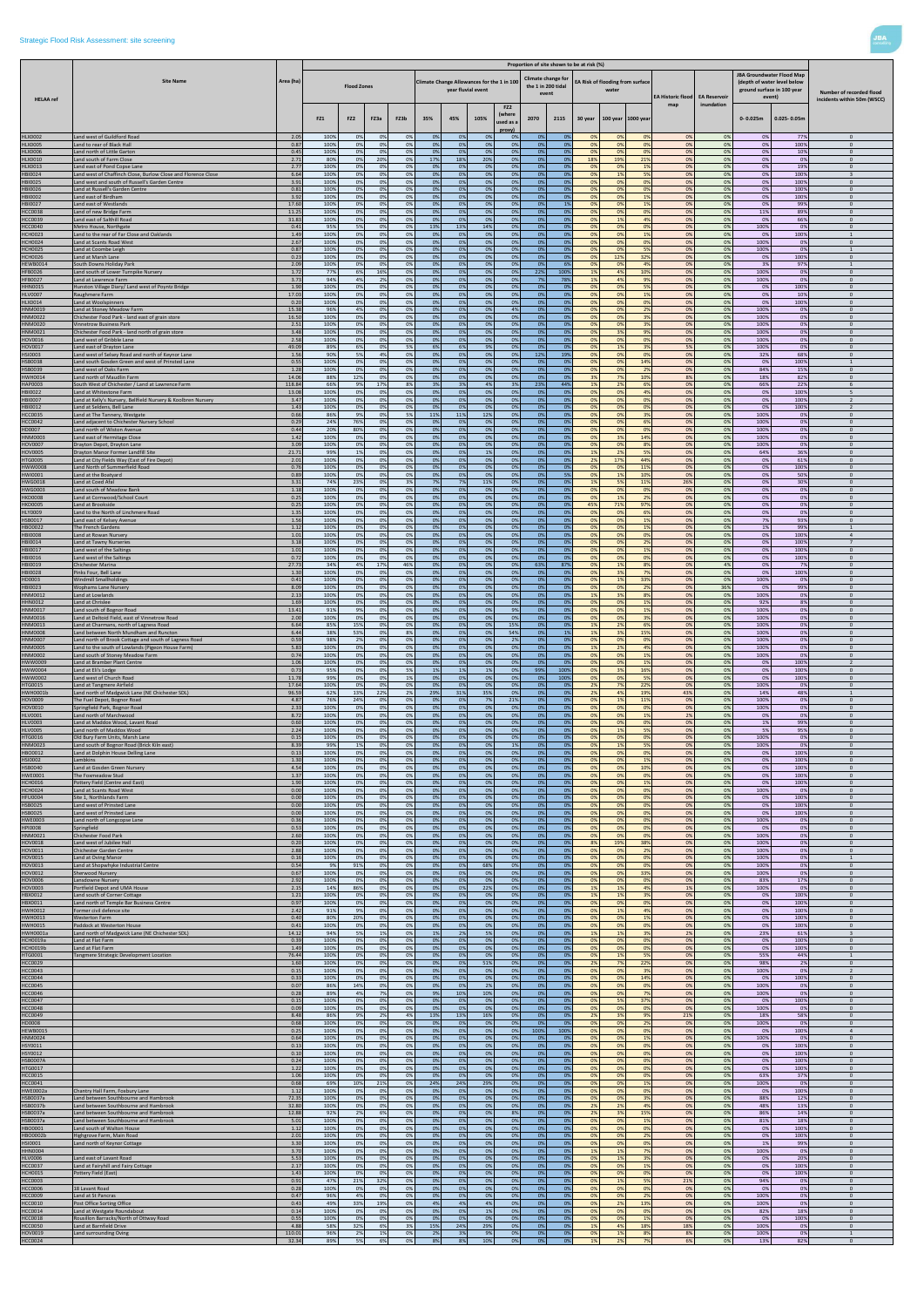|                                  |                                                                                                        |                 |              |                    |           |           |           |                                            |                    |                                        |                                                   |             | Proportion of site shown to be at risk (%) |           |                                  |                          |                      |              |                                                                                                         | Number of recorded flood<br>incidents within 50m (WSCC) |
|----------------------------------|--------------------------------------------------------------------------------------------------------|-----------------|--------------|--------------------|-----------|-----------|-----------|--------------------------------------------|--------------------|----------------------------------------|---------------------------------------------------|-------------|--------------------------------------------|-----------|----------------------------------|--------------------------|----------------------|--------------|---------------------------------------------------------------------------------------------------------|---------------------------------------------------------|
|                                  | <b>Site Name</b>                                                                                       | Area (ha)       |              | <b>Flood Zones</b> |           |           |           | Climate Change Allowances for the 1 in 100 | year fluvial event |                                        | Climate change for<br>the 1 in 200 tidal<br>event |             |                                            | water     | EA Risk of flooding from surface | <b>EA Historic flood</b> | <b>EA Reservoir</b>  |              | <b>JBA Groundwater Flood Map</b><br>(depth of water level below<br>ground surface in 100 year<br>event) |                                                         |
| <b>HELAA</b> ref                 |                                                                                                        |                 | FZ1          | FZ <sub>2</sub>    | FZ3a      | FZ3b      | 35%       | 45%                                        | 105%               | FZ <sub>2</sub><br>(where<br>used as a | 2070                                              | 2115        | 30 year                                    |           | 100 year 1000 year               | map                      | inundation           | $0 - 0.025m$ | $0.025 - 0.05m$                                                                                         |                                                         |
| <b>HLX0002</b>                   | Land west of Guildford Road                                                                            | 2.05            | 100%         | 0%                 | 0%        | 0%        | 0%        | 0%                                         | 0 <sup>9</sup>     | proxy]<br>0%                           | 0%                                                | - 0%        | -09                                        | 0%        | 0%                               | 0%                       | 0%                   | 0%           | 779                                                                                                     | $\mathbf{0}$                                            |
| <b>HLX0005</b>                   | Land to rear of Black Hall                                                                             | 0.87            | 100%         | 0%                 | 0%        | 0%<br>0%  | 0%        | 0%<br>0%                                   | 0%                 | 0%<br>0%                               | 0%                                                | 0%          | 0%                                         | 0%<br>0%  | 0%<br>0%                         | 0%                       | 0%                   | 0%           | 100%                                                                                                    | $\overline{0}$                                          |
| <b>HLX0006</b><br>HLX0010        | Land north of Little Garton<br>Land south of Farm Close                                                | 0.45<br>2.71    | 100%<br>80%  | 0%<br>0%           | 0%<br>20% | 0%        | 0%<br>17% | 18%                                        | 0%<br>20%          | 0%                                     | 0%<br>-0%                                         | 0%<br>0%    | 0%<br>18%                                  | 19%       | 21%                              | 0%<br>0%                 | 0%<br>0%             | 0%<br>0%     | 10%<br>0%                                                                                               | $\overline{0}$<br>$\mathbf{0}$                          |
| HLX0013<br>HBI0024               | Land east of Pond Copse Lane<br>Land west of Chaffinch Close, Burlow Close and Florence Close          | 2.77<br>6.64    | 100%<br>100% | 0%<br>0%           | 0%<br>0%  | 0%<br>0%  | 0%<br>0%  | 0%<br>0%                                   | 0%<br>0%           | 0%<br>0%                               | 0%<br>0%                                          | 0%<br>0%    | 0%<br>0%                                   | 0%<br>1%  | 1%<br>5%                         | 0%<br>0%                 | 0%<br>0%             | 0%<br>0%     | 19%<br>100%                                                                                             | $\overline{0}$<br>$\overline{\mathbf{3}}$               |
| HBI0025                          | Land west and south of Russell's Garden Centre                                                         | 3.91            | 100%         | 0%                 | 0%        | 0%        | 0%        | 0%                                         | 0%                 | 0%                                     | 0%                                                | 0%          | 0 <sup>9</sup>                             | 0%        | 0%                               | 0%                       | 0%                   | 0%           | 100%                                                                                                    | $\Omega$                                                |
| HBI0026<br>HBI0002               | and at Russell's Garden Centre.<br>Land east of Birdham                                                | 0.81<br>3.92    | 100%<br>100% | 0%<br>0%           | 0%<br>0%  | 0%<br>0%  | 0%<br>0%  | 0%<br>0%                                   | 0%<br>0%           | 0%<br>0%                               | 0%<br>0%                                          | 0%<br>0%    | 0%<br>0%                                   | 0%<br>0%  | 0%<br>1%                         | 0%<br>0%                 | 0%<br>0%             | 0%<br>0%     | 100%<br>100%                                                                                            | $\mathbf{0}$<br>$\Omega$                                |
| HBI0027                          | Land east of Westlands                                                                                 | 17.60           | 100%         | 0%                 | 0%        | 0%        | 0%        | 0%                                         | 0%                 | 0%                                     | 0%                                                | 1%          | 0%                                         | 0%        | 1%                               | 0%                       | 0%                   | 0%           | 99%                                                                                                     | $\overline{0}$                                          |
| <b>HCC0038</b><br><b>HCC0039</b> | and of new Bridge Farm<br>Land east of Salthill Road                                                   | 11.25<br>31.83  | 100%<br>100% | 0%<br>0%           | 0%<br>0%  | 0%<br>0%  | 0%<br>0%  | 0%<br>0%                                   | 0%<br>0%           | 0%<br>0%                               | 0%<br>0%                                          | 0%<br>0%    | 0%<br>0%                                   | 0%<br>1%  | 0%<br>4%                         | 0%<br>0%                 | 0%<br>0%             | 11%<br>0%    | 89%<br>66%                                                                                              | $\mathbf{0}$<br>$\Omega$                                |
| <b>HCC0040</b>                   | Metro House, Northgate                                                                                 | 0.41            | 95%          | 5%                 | 0%        | 0%        | 13%       | 13%                                        | 14%                | 0%                                     | 0%                                                | 0%          | 0%                                         | 0%        | 0%                               | 0%                       | 0%                   | 100%         | 0%                                                                                                      | $\mathbf{0}$                                            |
| <b>HCH0023</b><br><b>HCH0024</b> | Land to the rear of Far Close and Oaklands<br>and at Scants Road West                                  | 1.49<br>2.67    | 100%<br>100% | 0%<br>0%           | 0%<br>0%  | 0%<br>0%  | 0%<br>0%  | 0%<br>0%                                   | 0%<br>0%           | 0%<br>0%                               | 0%<br>0%                                          | 0%<br>0%    | 0%<br>0%                                   | 0%<br>0%  | 1%<br>0%                         | 0%<br>0%                 | 0%<br>0%             | 0%<br>100%   | 100%<br>0%                                                                                              | 1<br>$\mathbf{0}$                                       |
| <b>HCH0025</b><br><b>HCH0026</b> | Land at Coombe Leigh<br>Land at Marsh Lane                                                             | 0.87<br>0.23    | 100%<br>100% | 0%<br>0%           | 0%<br>0%  | 0%<br>0%  | 0%<br>0%  | 0%<br>0%                                   | 0%<br>0%           | 0%<br>0%                               | 0%<br>- 0%                                        | 0%<br>0%    | 0 <sup>9</sup><br>0%                       | 0%<br>12% | 5%<br>32%                        | 0%<br>0%                 | 0%<br>0%             | 100%<br>0%   | 0%<br>100%                                                                                              | 1<br>$\overline{0}$                                     |
| <b>HEWB0014</b>                  | South Downs Holiday Park                                                                               | 2.09            | 100%         | 0%                 | 0%        | 0%        | 0%        | 0%                                         | 0%                 | 0%                                     | 0%                                                | 6%          | 0%                                         | 0%        | 4%                               | 0%                       | 0%                   | 3%           | 97%                                                                                                     | $\overline{1}$                                          |
| <b>HFB0026</b><br><b>HFB0027</b> | and south of Lower Turnpike Nursery<br>Land at Lawrence Farm                                           | 1.72<br>3.73    | 77%<br>94%   | 6%<br>4%           | 16%<br>2% | 0%<br>0%  | 0%<br>0%  | 0%<br>0%                                   | 0%<br>0%           | 0%<br>0%                               | 22%<br>- 7%                                       | 100%<br>78% | 1%<br>1%                                   | 4%<br>4%  | 10%<br>9%                        | 0%<br>0%                 | 0%<br>0%             | 100%<br>100% | 0%<br>0%                                                                                                | $\mathbf{0}$<br>$\mathbf{0}$                            |
| <b>HHN0015</b>                   | Hunston Village Diary/ Land west of Poyntz Bridge                                                      | 1.90            | 100%         | 0%                 | 0%        | 0%        | 0%        | 0%                                         | 0%                 | 0%                                     | 0%                                                | 0%          | 0%                                         | 0%        | 5%                               | 0%                       | 0%                   | 0%           | 100%                                                                                                    | $\mathbf{0}$                                            |
| <b>HLV0007</b><br><b>HLX0014</b> | Raughmere Farm<br>Land at Woolspinners                                                                 | 17.03<br>0.20   | 100%<br>100% | 0%<br>0%           | 0%<br>0%  | 0%<br>0%  | 0%<br>0%  | 0%<br>0%                                   | 0%<br>0%           | 0%<br>0%                               | 0%<br>0%                                          | 0%<br>0%    | 0%<br>0 <sup>9</sup>                       | 0%<br>0%  | 1%<br>0%                         | 0%<br>0%                 | 0%<br>0%             | 0%<br>0%     | 10%<br>100%                                                                                             | $\mathbf{0}$<br>$\Omega$                                |
| HNM0019                          | Land at Stoney Meadow Farm                                                                             | 15.38           | 96%          | 4%                 | 0%        | 0%        | 0%        | 0%                                         | 0%                 | 4%                                     | - 0%                                              | 0%          | 0%                                         | 0%        | 2%                               | 0%                       | 0%                   | 100%         | 0%                                                                                                      | $\overline{0}$                                          |
| HNM0022<br>HNM0020               | Chichester Food Park - land east of grain store<br><b>Vinnetrow Business Park</b>                      | 16.50<br>2.51   | 100%<br>100% | 0%<br>0%           | 0%<br>0%  | 0%<br>0%  | 0%<br>0%  | 0%<br>0%                                   | 0%<br>0%           | 0%<br>0%                               | 0%<br>0%                                          | 0%<br>0%    | 0%<br>0%                                   | 0%<br>0%  | 3%<br>3%                         | 0%<br>0%                 | 0%<br>0%             | 100%<br>100% | 0%<br>0%                                                                                                | $\overline{0}$<br>$\mathbf{0}$                          |
| HNM0021                          | Chichester Food Park - land north of grain store                                                       | 3.48<br>2.58    | 100%<br>100% | 0%                 | 0%<br>0%  | 0%<br>0%  | 0%<br>0%  | 0%<br>0%                                   | 0%<br>0%           | 0%<br>0%                               | 0%                                                | 0%<br>0%    | 0%                                         | 3%<br>0%  | 9%<br>0%                         | 0%                       | 0%<br>0%             | 100%<br>100% | 0%                                                                                                      | $\mathbf{0}$<br>$\Omega$                                |
| HOV0016<br>HOV0017               | Land west of Gribble Lane<br>Land east of Drayton Lane                                                 | 49.09           | 89%          | 0%<br>6%           | 0%        | 5%        | 6%        | 6%                                         | 9%                 | 0%                                     | 0%<br>-0%                                         | 0%          | 0%<br>0%                                   | 1%        | 3%                               | 0%<br>5%                 | 0%                   | 100%         | 0%<br>0%                                                                                                | $\mathbf{0}$                                            |
| HSI0003<br>HSB0038               | Land west of Selsey Road and north of Keynor Lane<br>Land south Gosden Green and west of Prinsted Lane | 1.56<br>0.55    | 90%<br>100%  | 5%<br>0%           | 4%<br>0%  | 0%<br>0%  | 0%<br>0%  | 0%<br>0%                                   | 0%<br>0%           | 0%<br>0%                               | 12%<br>- 0%                                       | 19%<br>0%   | 0%<br>0%                                   | 0%<br>0%  | 0%<br>14%                        | 0%<br>0%                 | 0%<br>0%             | 32%<br>0%    | 68%<br>100%                                                                                             | $\overline{0}$<br>$\mathbf{1}$                          |
| HSB0039                          | Land west of Oaks Farm                                                                                 | 1.28            | 100%         | 0%                 | 0%        | 0%        | 0%        | 0%                                         | 0%                 | 0%                                     | 0%                                                | 0%          | 0 <sup>9</sup>                             | 0%        | 2%                               | 0%                       | 0%                   | 84%          | 15%                                                                                                     | $\Omega$                                                |
| HWH0014<br>HAP0003               | Land north of Maudlin Farm<br>South West of Chichester / Land at Lawrence Farm                         | 14.06<br>118.84 | 88%<br>66%   | 12%<br>9%          | 0%<br>17% | 0%<br>8%  | 0%<br>3%  | 0%<br>3%                                   | 0%<br>4%           | 0%<br>3%                               | 0%<br>23%                                         | 0%<br>44%   | 3%<br>1%                                   | 7%<br>2%  | 109<br>6%                        | 8%<br>0%                 | 0%<br>0%             | 18%<br>66%   | 82%<br>22%                                                                                              | $\mathbf{0}$<br>-6                                      |
| HBI0022                          | Land at Whitestone Farm                                                                                | 13.08           | 100%         | 0%                 | 0%        | 0%        | 0%        | 0%                                         | 0%                 | 0%                                     | 0%                                                | 0%          | 0%                                         | 0%        | 4%                               | 0%                       | 0%                   | 0%           | 100%                                                                                                    | 5                                                       |
| HBI0007<br>HBI0012               | and at Kelly's Nursery, Bellfield Nursery & Koolbren Nursery.<br>and at Seldens, Bell Lane             | 3.47<br>1.43    | 100%<br>100% | 0%<br>0%           | 0%<br>0%  | 0%<br>0%  | 0%<br>0%  | 0%<br>0%                                   | 0%<br>0%           | 0%<br>0%                               | 0%<br>0%                                          | 0%<br>0%    | 0%<br>0%                                   | 0%<br>0%  | 0%<br>0%                         | 0%<br>0%                 | 0%<br>0%             | 0%<br>0%     | 100%<br>100%                                                                                            | $\overline{2}$<br>$\overline{2}$                        |
| <b>HCC0035</b><br><b>HCC0042</b> | Land at The Tannery, Westgate<br>Land adjacent to Chichester Nursery School                            | 0.66<br>0.29    | 86%<br>24%   | 9%<br>76%          | 0%<br>0%  | 5%<br>0%  | 11%<br>0% | 11%<br>0%                                  | 12%<br>0%          | 0%<br>0%                               | 0%<br>0%                                          | 0%<br>0%    | 0%<br>0 <sup>9</sup>                       | 0%<br>0%  | 3%<br>6%                         | 0%<br>0%                 | 0%<br>0%             | 100%<br>100% | 0%<br>0%                                                                                                | $\overline{0}$<br>$\Omega$                              |
| HD0007                           | and north of Wiston Avenue                                                                             | 0.44            | 20%          | 80%                | 0%        | 0%        | 0%        | 0%                                         | 0%                 | 0%                                     | 0%                                                | 0%          | 0%                                         | 0%        | 0%                               | 0%                       | 0%                   | 100%         | 0%                                                                                                      | $\mathbf{0}$                                            |
| <b>HNM0003</b><br>HOV0007        | Land east of Hermitage Close<br>Drayton Depot, Drayton Lane                                            | 1.42<br>3.09    | 100%<br>100% | 0%<br>0%           | 0%<br>0%  | 0%<br>0%  | 0%<br>0%  | 0%<br>0%                                   | 0%<br>0%           | 0%<br>0%                               | 0%<br>0%                                          | 0%<br>0%    | 0%<br>0%                                   | 3%<br>0%  | 14%<br>8%                        | 0%<br>0%                 | 0%<br>0%             | 100%<br>100% | 0%<br>0%                                                                                                | $\Omega$<br>$\mathbf{0}$                                |
| <b>HOV0005</b>                   | Drayton Manor Former Landfill Site                                                                     | 21.71           | 99%          | 1%                 | 0%        | 0%        | 0%        | 0%                                         | 1%                 | 0%                                     | 0%                                                | 0%          | 19                                         | 2%        | 5%                               | 0%                       | 0%                   | 64%          | 36%                                                                                                     | $\mathbf{0}$                                            |
| <b>HTG0005</b><br>HWW0008        | Land at City Fields Way (East of Fire Depot)<br>Land North of Summerfield Road                         | 2.01<br>0.76    | 100%<br>100% | 0%<br>0%           | 0%<br>0%  | 0%<br>0%  | 0%<br>0%  | 0%<br>0%                                   | 0%<br>0%           | 0%<br>0%                               | 0%<br>0%                                          | 0%<br>0%    | 2%<br>0%                                   | 17%<br>0% | 44%<br>11%                       | 0%<br>0%                 | 0%<br>0%             | 0%<br>0%     | 61%<br>100%                                                                                             | $\mathbf{0}$<br>$\overline{0}$                          |
| <b>HWI0001</b>                   | Land at the Boatyard                                                                                   | 0.89            | 100%         | 0%                 | 0%        | 0%        | 0%        | 0%                                         | 0%                 | 0%                                     | 0%                                                | 5%          | 0%                                         | 1%<br>5%  | 10%                              | 0%                       | 0%                   | 0%           | 50%                                                                                                     | $\overline{0}$                                          |
| HWG0018<br>HWG0003               | and at Coed Afal<br>Land south of Meadow Bank                                                          | 3.31<br>1.18    | 74%<br>100%  | 23%<br>0%          | 0%<br>0%  | 3%<br>0%  | 7%<br>0%  | 7%<br>0%                                   | 11%<br>0%          | 0%<br>0%                               | 0%<br>0%                                          | 0%<br>0%    | 1%<br>0%                                   | 0%        | 11%<br>0%                        | 26%<br>0%                | 0%<br>0%             | 0%<br>0%     | 30%<br>0%                                                                                               | $\mathbf{0}$<br>$\Omega$                                |
| <b>HKD0008</b><br><b>HKD0005</b> | Land at Cornwood/School Court<br>Land at Brookside                                                     | 0.25<br>0.25    | 100%<br>100% | 0%<br>0%           | 0%<br>0%  | 0%<br>0%  | 0%<br>0%  | 0%<br>0%                                   | 0%<br>0%           | 0%<br>0%                               | 0%<br>0%                                          | 0%<br>0%    | 0%<br>45%                                  | 1%<br>71% | 2%<br>97%                        | 0%<br>0%                 | 0%<br>0%             | 0%<br>0%     | 0%<br>0%                                                                                                | $\overline{0}$<br>$\Omega$                              |
| <b>HLY0009</b>                   | Land to the North of Linchmere Road                                                                    | 1.35            | 100%         | 0%                 | 0%        | 0%        | 0%        | 0%                                         | 0%                 | 0%                                     | 0%                                                | 0%          | 0%                                         | 0%        | 6%                               | 0%                       | 0%                   | 0%           | 0%                                                                                                      | $\mathbf{0}$                                            |
| HSB0017<br>HBO0022               | Land east of Kelsey Avenue<br>The French Gardens                                                       | 1.56<br>1.12    | 100%<br>100% | 0%<br>0%           | 0%<br>0%  | 0%<br>0%  | 0%<br>0%  | 0%<br>0%                                   | 0%<br>0%           | 0%<br>0%                               | 0%<br>0%                                          | 0%<br>0%    | 0%<br>0%                                   | 0%<br>0%  | 1%<br>1%                         | 0%<br>0%                 | 0%<br>0%             | 7%<br>1%     | 93%<br>99%                                                                                              | $\overline{0}$<br>$\overline{1}$                        |
| <b>HBI0008</b>                   | Land at Rowan Nursery                                                                                  | 1.01            | 100%         | 0%                 | 0%        | 0%        | 0%        | 0%                                         | 0%                 | 0%                                     | -0%                                               | 0%          | 0%                                         | 0%        | 0%                               | 0%                       | 0%                   | 0%           | 100%                                                                                                    | $\overline{4}$                                          |
| HBI0014<br>HBI0017               | Land at Tawny Nurseries<br>Land west of the Salting                                                    | 3.18<br>1.01    | 100%<br>100% | 0%<br>0%           | 0%<br>0%  | 0%<br>no  | 0%<br>0%  | 0%<br>n%                                   | 0%<br>0%           | 0%<br>$\Omega\%$                       | 0 <sup>9</sup><br>0 <sup>9</sup>                  | 0%<br>no    | 0 <sup>9</sup>                             | 0%<br>0%  | 2%<br>10 <sub>4</sub>            | 0%                       | 0%<br>0 <sup>9</sup> | 0%<br>0%     | 100%<br>100%                                                                                            | $\overline{7}$<br>$\mathbf{0}$                          |
| HBI0016                          | Land west of the Saltings                                                                              | 0.72            | 100%         | 0%                 | 0%        | 0%        | 0%        | 0%                                         | 0%                 | 0%                                     | 0%                                                | 0%          | $\Omega$                                   | 0%        | 0%<br>8%                         | 0%                       | 0%                   | 0%           | 100%                                                                                                    | $\Omega$<br>$\mathbf{0}$                                |
| HBI0019<br><b>HBI0028</b>        | Chichester Marina<br>Pinks Four, Bell Lane                                                             | 27.73<br>1.30   | 34%<br>100%  | 4%<br>0%           | 17%<br>0% | 46%<br>0% | 0%<br>0%  | 0%<br>0%                                   | 0%<br>0%           | 0%<br>0%                               | 63%<br>0%                                         | 87%<br>0%   | 0%<br>0%                                   | 1%<br>3%  | 7%                               | 0%<br>0%                 | 4%<br>0%             | 0%<br>0%     | 7%<br>100%                                                                                              | $\overline{0}$                                          |
| HD0003<br>HBI0023                | <b>Windmill Smallholdings</b><br><b>Wophams Lane Nursery</b>                                           | 0.41<br>8.09    | 100%<br>100% | 0%<br>0%           | 0%<br>0%  | 0%<br>0%  | 0%<br>0%  | 0%<br>0%                                   | 0%<br>0%           | 0%<br>0%                               | 0%<br>-0%                                         | 0%<br>0%    | 0%<br>0%                                   | 1%<br>0%  | 33%<br>2%                        | 0%<br>0%                 | 0%<br>36%            | 100%<br>0%   | 0%<br>99%                                                                                               | $\mathbf{0}$<br>$\mathbf{0}$                            |
| HNM0012                          | Land at Lowlands                                                                                       | 2.13            | 100%         | 0%                 | 0%        | 0%        | 0%        | 0%                                         | 0%                 | 0%                                     | 0%                                                | 0%          | 1%                                         | 3%        | 8%                               | 0%                       | 0%                   | 100%         | 0%                                                                                                      | $\mathbf{0}$                                            |
| <b>HHN0012</b><br>HNM0017        | Land at Chrislee<br>Land south of Bognor Road                                                          | 1.69<br>13.41   | 100%<br>91%  | 0%<br>9%           | 0%<br>0%  | 0%<br>0%  | 0%<br>0%  | 0%<br>0%                                   | 0%<br>0%           | 0%<br>9%                               | 0%<br>0%                                          | 0%<br>0%    | 0%<br>0 <sup>9</sup>                       | 0%<br>0%  | 1%<br>1%                         | 0%<br>0%                 | 0%<br>0%             | 92%<br>100%  | 8%<br>0%                                                                                                | $\mathbf{0}$<br>$\Omega$                                |
| HNM0016                          | Land at Deltoid Field, east of Vinnetrow Road                                                          | 2.00            | 100%         | 0%                 | 0%        | 0%        | 0%        | 0%                                         | 0%                 | 0%                                     | - 09                                              | 0%          | 0%                                         | 0%        | 3%                               | 0%                       | 0%                   | 100%         | 0%                                                                                                      | $\mathbf{0}$                                            |
| HNM0013<br>HNM0008               | Land at Charmans, north of Lagness Road<br>Land between North Mundham and Runctor                      | 6.64<br>6.44    | 85%<br>38%   | 15%<br>53%         | 0%<br>0%  | 0%<br>8%  | 0%<br>0%  | 0%<br>0%                                   | 0%<br>0%           | 15%<br>54%                             | 0%<br>0%                                          | 0%<br>1%    | 19<br>1%                                   | 2%<br>3%  | 6%<br>15%                        | 0%<br>0%                 | 0%<br>0%             | 100%<br>100% | 0%<br>0%                                                                                                | $\Omega$<br>$\mathbf{0}$                                |
| HNM0007<br>HNM0005               | Land north of Brook Cottage and south of Lagness Road                                                  | 0.59<br>5.83    | 98%          | 2%<br>0%           | 0%<br>0%  | 0%        | 0%<br>0%  | 0%<br>0%                                   | 0%<br>0%           | 2%                                     | 0%                                                | 0%          | 0%                                         | 0%<br>2%  | 0%                               | 0%                       | 0%                   | 100%<br>100% | 0%                                                                                                      | $\mathbf{0}$<br>$\mathbf{0}$                            |
| HNM0002                          | Land to the south of Lowlands (Pigeon House Farm)<br>Land south of Stoney Meadow Farm                  | 0.74            | 100%<br>100% | 0%                 | 0%        | 0%<br>0%  | 0%        | 0%                                         | 0%                 | 0%<br>0%                               | 0%<br>0%                                          | 0%<br>0%    | 1%<br>0%                                   | 0%        | 4%<br>1%                         | 0%<br>0%                 | 0%<br>0%             | 100%         | 0%<br>0%                                                                                                | $\overline{0}$                                          |
| HWW0009<br>HWW0004               | Land at Bramber Plant Centre<br>Land at Eli's Lodge                                                    | 1.06<br>0.73    | 100%<br>95%  | 0%<br>0%           | 0%<br>0%  | 0%<br>5%  | 0%<br>1%  | 0%<br>1%                                   | 0%<br>1%           | 0%<br>0%                               | 0%<br>99%                                         | 0%<br>100%  | 0%<br>0%                                   | 0%<br>3%  | 1%<br>16%                        | 0%<br>0%                 | 0%<br>0%             | 0%<br>0%     | 100%<br>100%                                                                                            | $\overline{2}$<br>$\overline{0}$                        |
| HWW0002                          | Land west of Church Road                                                                               | 11.78           | 99%          | 0%                 | 0%        | 1%        | 0%        | 0%                                         | 0%                 | 0%                                     | 0%                                                | 100%        | 0%                                         | 0%        | 5%                               | 0%                       | 0%                   | 0%           | 100%                                                                                                    | $\Omega$                                                |
| <b>HTG0015</b><br>HWH0001b       | Land at Tangmere Airfield<br>Land north of Madgwick Lane (NE Chichester SDL)                           | 17.64<br>96.59  | 100%<br>62%  | 0%<br>13%          | 0%<br>22% | 0%<br>2%  | 0%<br>29% | 0%<br>31%                                  | 0%<br>35%          | 0%<br>0%                               | - 0%<br>0%                                        | 0%<br>0%    | 2%<br>2%                                   | 7%<br>4%  | 22%<br>19%                       | 0%<br>43%                | 0%<br>0%             | 100%<br>14%  | 0%<br>48%                                                                                               | $\overline{0}$<br>$\overline{1}$                        |
| <b>HOV0009</b>                   | The Fuel Depot, Bognor Road                                                                            | 4.87            | 76%          | 24%                | 0%        | 0%        | 0%        | 0%                                         | 7%                 | 21%                                    | 0%                                                | 0%          | 0%                                         | 1%        | 11%                              | 0%                       | 0%                   | 100%         | 0%                                                                                                      | $\mathbf{0}$                                            |
| HOV0010<br><b>HLV0001</b>        | Springfield Park, Bognor Road<br>Land north of Marchwood                                               | 2.33<br>8.72    | 100%<br>100% | 0%<br>0%           | 0%<br>0%  | 0%<br>0%  | 0%<br>0%  | 0%<br>0%                                   | 0%<br>0%           | 0%<br>0%                               | 0%<br>0%                                          | 0%<br>0%    | 0%<br>0%                                   | 0%<br>0%  | 0%<br>1%                         | 0%<br>2%                 | 0%<br>0%             | 100%<br>0%   | 0%<br>0%                                                                                                | $\Omega$<br>$\mathbf{0}$                                |
| <b>HLV0003</b>                   | and at Maddox Wood, Lavant Road<br>Land north of Maddox Wood                                           | 0.60<br>2.24    | 100%<br>100% | 0%                 | 0%<br>0%  | 0%<br>0%  | 0%<br>0%  | 0%<br>0%                                   | 0%<br>0%           | 0%<br>0%                               | 0%<br>0%                                          | 0%          | 0%<br>0%                                   | 0%<br>1%  | 0%<br>5%                         | 0%<br>0%                 | 0%<br>0%             | 1%<br>5%     | 99%                                                                                                     | $\mathbf{0}$<br>$\Omega$                                |
| <b>HLV0005</b><br>HTG0016        | Old Bury Farm Units, Marsh Lane                                                                        | 0.15            | 100%         | 0%<br>0%           | 0%        | 0%        | 0%        | 0%                                         | 0%                 | 0%                                     | - 0%                                              | 0%<br>0%    | 0%                                         | 0%        | 0%                               | 0%                       | 0%                   | 100%         | 95%<br>0%                                                                                               | $\overline{0}$                                          |
| HNM0023<br>HBO0012               | Land south of Bognor Road (Brick Kiln east)<br>Land at Dolphin House Delling Lane                      | 8.39<br>0.13    | 99%<br>100%  | 1%<br>0%           | 0%<br>0%  | 0%<br>0%  | 0%<br>0%  | 0%<br>0%                                   | 0%<br>0%           | 1%<br>0%                               | 0%<br>0%                                          | 0%<br>0%    | 0%<br>0%                                   | 1%<br>0%  | 5%<br>0%                         | 0%<br>0%                 | 0%<br>0%             | 100%<br>0%   | 0%<br>100%                                                                                              | $\overline{0}$<br>$\mathbf{0}$                          |
| HSI0002                          | Lambkins                                                                                               | 1.30            | 100%         | 0%                 | 0%        | 0%        | 0%        | 0%                                         | 0%                 | 0%                                     | 0%                                                | 0%          | 0%                                         | 0%        | 1%                               | 0%                       | 0%                   | 0%           | 100%                                                                                                    | $\overline{0}$                                          |
| HSB0040<br>HWE0001               | Land at Gosden Green Nursery<br>The Foxmeadow Stud                                                     | 4.54<br>1.37    | 100%<br>100% | 0%<br>0%           | 0%<br>0%  | 0%<br>0%  | 0%<br>0%  | 0%<br>0%                                   | 0%<br>0%           | 0%<br>0%                               | 0%<br>-0%                                         | 0%<br>0%    | 0%<br>0%                                   | 0%<br>0%  | 10%<br>0%                        | 0%<br>0%                 | 0%<br>0%             | 0%<br>0%     | 100%<br>100%                                                                                            | $\Omega$<br>$\overline{0}$                              |
| <b>HCH0016</b>                   | Pottery Field (Centre and East)<br>Land at Scants Road West                                            | 1.90            | 100%<br>100% | 0%<br>0%           | 0%        | 0%<br>0%  | 0%<br>0%  | 0%<br>0%                                   | 0%<br>0%           | 0%<br>0%                               | 0%<br>0%                                          | 0%<br>0%    | 0%<br>0%                                   | 0%<br>0%  | 1%<br>0%                         | 0%<br>0%                 | 0%<br>0%             | 0%<br>100%   | 100%<br>0%                                                                                              | $\overline{0}$<br>$\overline{0}$                        |
| <b>HCH0024</b><br><b>HFU0004</b> | Site 1, Northlands Farm                                                                                | 0.00<br>0.00    | 100%         | 0%                 | 0%<br>0%  | 0%        | 0%        | 0%                                         | 0%                 | 0%                                     | 0%                                                | 0%          | 0%                                         | 0%        | 0%                               | 0%                       | 0%                   | 0%           | 100%                                                                                                    | $\mathbf{0}$                                            |
| HSB0025<br>HSB0025               | Land west of Prinsted Lane<br>Land west of Prinsted Lane                                               | 0.00<br>0.00    | 100%<br>100% | 0%<br>0%           | 0%<br>0%  | 0%<br>0%  | 0%<br>0%  | 0%<br>0%                                   | 0%<br>0%           | 0%<br>0%                               | 0%<br>0%                                          | 0%<br>0%    | 0%<br>0%                                   | 0%<br>0%  | 0%<br>0%                         | 0%<br>0%                 | 0%<br>0%             | 0%<br>0%     | 100%<br>100%                                                                                            | $\mathbf{0}$<br>$\Omega$                                |
| <b>HWE0003</b>                   | Land north of Longcopse Lane                                                                           | 0.36            | 100%         | 0%                 | 0%        | 0%        | 0%        | 0%                                         | 0%                 | 0%                                     | 0%                                                | 0%          | 0%                                         | 0%        | 0%                               | 0%                       | 0%                   | 100%         | 0%                                                                                                      | $\Omega$                                                |
| <b>HPI0008</b><br>HNM0021        | Springfield<br><b>Chichester Food Park</b>                                                             | 0.53<br>2.60    | 100%<br>100% | 0%<br>0%           | 0%<br>0%  | 0%<br>0%  | 0%<br>0%  | 0%<br>0%                                   | 0%<br>0%           | 0%<br>0%                               | -0%<br>0%                                         | 0%<br>0%    | 0%<br>0%                                   | 0%<br>0%  | 0%<br>0%                         | 0%<br>0%                 | 0%<br>0%             | 0%<br>100%   | 0%<br>0%                                                                                                | $\mathbf{0}$<br>$\mathbf{0}$                            |
| HOV0018                          | Land west of Jubilee Hall                                                                              | 0.20<br>2.88    | 100%         | 0%                 | 0%        | 0%<br>0%  | 0%        | 0%                                         | 0%                 | 0%<br>0%                               | 0%                                                | 0%          | 8%<br>0 <sup>9</sup>                       | 19%<br>0% | 38%<br>2%                        | 0%                       | 0%                   | 100%         | 0%                                                                                                      | $\overline{0}$<br>$\Omega$                              |
| HOV0011<br>HOV0015               | Chichester Garden Centre<br>Land at Oving Manor                                                        | 0.16            | 100%<br>100% | 0%<br>0%           | 0%<br>0%  | 0%        | 0%<br>0%  | 0%<br>0%                                   | 0%<br>0%           | 0%                                     | 0%<br>0%                                          | 0%<br>0%    | 0%                                         | 0%        | 0%                               | 0%<br>0%                 | 0%<br>0%             | 100%<br>100% | 0%<br>0%                                                                                                | 1                                                       |
| HOV0013<br>HOV0012               | Land at Shopwhyke Industrial Centre<br><b>Sherwood Nursery</b>                                         | 0.54<br>0.67    | 9%<br>100%   | 91%<br>0%          | 0%<br>0%  | 0%<br>0%  | 0%<br>0%  | 0%<br>0%                                   | 68%<br>0%          | 0%<br>0%                               | 0%<br>0%                                          | 0%<br>0%    | 0%<br>0%                                   | 0%<br>0%  | 0%<br>33%                        | 0%<br>0%                 | 0%<br>0%             | 100%<br>100% | 0%<br>0%                                                                                                | $\Omega$<br>$\mathbf{0}$                                |
| <b>HOV0006</b>                   | Lansdowne Nursery                                                                                      | 2.92            | 100%         | 0%                 | 0%        | 0%        | 0%        | 0%                                         | 0%                 | 0%                                     | 0%                                                | 0%          | 0%                                         | 0%        | 0%                               | 0%                       | 0%                   | 83%          | 17%                                                                                                     | $\mathbf{0}$                                            |
| HOV0003<br>HBX0012               | Portfield Depot and UMA House<br>Land south of Corner Cottage                                          | 2.15<br>1.21    | 14%<br>100%  | 86%<br>0%          | 0%<br>0%  | 0%<br>0%  | 0%<br>0%  | 0%<br>0%                                   | 22%<br>0%          | 0%<br>0%                               | 0%<br>0%                                          | 0%<br>0%    | 1%<br>1%                                   | 1%<br>1%  | 4%<br>3%                         | 1%<br>0%                 | 0%<br>0%             | 100%<br>0%   | 0%<br>100%                                                                                              | $\mathbf{0}$<br>$\overline{0}$                          |
| HBX0011                          | Land north of Temple Bar Business Centre                                                               | 0.97            | 100%         | 0%                 | 0%        | 0%        | 0%        | 0%                                         | 0%                 | 0%                                     | - 0%                                              | 0%          | 0%                                         | 0%        | 0%                               | 0%                       | 0%                   | 0%           | 100%                                                                                                    | $\overline{0}$                                          |
| HWH0012<br>HWH0013               | Former civil defence site<br><b>Westerton Farm</b>                                                     | 2.42<br>0.40    | 91%<br>80%   | 9%<br>20%          | 0%<br>0%  | 0%<br>0%  | 0%<br>0%  | 0%<br>0%                                   | 0%<br>0%           | 0%<br>0%                               | 0%<br>0%                                          | 0%<br>0%    | 0%<br>0%                                   | 1%<br>0%  | 4%<br>1%                         | 0%<br>0%                 | 0%<br>0%             | 0%<br>0%     | 100%<br>100%                                                                                            | $\mathbf{0}$<br>$\Omega$                                |
| <b>HWH0015</b>                   | Paddock at Westerton House                                                                             | 0.41            | 100%         | 0%                 | 0%        | 0%        | 0%        | 0%                                         | 0%                 | 0%                                     | 0%                                                | 0%          | 0%                                         | 0%        | 0%                               | 0%                       | 0%                   | 0%           | 100%                                                                                                    | $\overline{0}$                                          |
| HWH0001a<br>HCH0019a             | Land north of Madgwick Lane (NE Chichester SDL)<br>and at Flat Farm                                    | 14.12<br>0.39   | 94%<br>100%  | 5%<br>0%           | 1%<br>0%  | 0%<br>0%  | 1%<br>0%  | 2%<br>0%                                   | 5%<br>0%           | 0%<br>0%                               | 0 <sup>2</sup><br>0%                              | 0%<br>0%    | 1%<br>0%                                   | 1%<br>0%  | 3%<br>0%                         | 2%<br>0%                 | 0%<br>0%             | 23%<br>0%    | 61%<br>100%                                                                                             | $\overline{3}$<br>$\mathbf{0}$                          |
| HCH0019b<br><b>HTG0001</b>       | Land at Flat Farm<br>Tangmere Strategic Development Location                                           | 1.49<br>76.44   | 100%<br>100% | 0%<br>0%           | 0%<br>0%  | 0%<br>0%  | 0%<br>0%  | 0%<br>0%                                   | 0%<br>0%           | 0%<br>0%                               | 0%<br>0%                                          | 0%<br>0%    | 0%<br>0%                                   | 0%<br>1%  | 0%<br>5%                         | 0%<br>0%                 | 0%<br>0%             | 0%<br>55%    | 100%<br>44%                                                                                             | $\overline{0}$<br>1                                     |
| HCC0029                          |                                                                                                        | 1.60            | 100%         | 0%                 | 0%        | 0%        | 0%        | 0%                                         | 51%                | 0%                                     | 0%                                                | 0%          | 2%                                         | 7%        | 22%                              | 0%                       | 0%                   | 98%          | 2%                                                                                                      | $\overline{0}$                                          |

HCC0043 0.15 100% 0% 0% 0% 0% 0% 0% 0% 0% 0% 0% 0% 3% 0% 0% 100% 0% 2 HCC0044 0.33 100% 0% 0% 0% 0% 0% 0% 0% 0% 0% 0% 0% 14% 0% 0% 0% 100% 0

| <b>HCC0045</b>  |                                         | 0.07   | 86%  | 14% | 0%             | 0% | 0%  | 0%                    | 2%  | 0% | 0%   | 0%             | 0% | 0%              | 0%             | 0%             | 0% | 100% | 0%   |          |
|-----------------|-----------------------------------------|--------|------|-----|----------------|----|-----|-----------------------|-----|----|------|----------------|----|-----------------|----------------|----------------|----|------|------|----------|
| <b>HCC0046</b>  |                                         | 0.28   | 89%  | 4%  | 7%             | 0% | 9%  | 10%                   | 10% | 0% | 0%   | 0%             | 0% | 0%              | 7%             | 0%             | 0% | 100% | 0%   |          |
| <b>HCC0047</b>  |                                         | 0.15   | 100% | 0%  | 0%             | 0% | 0%  | 0%                    | 0%  | 0% | 0%   | 0%             | 0% | 5%              | 37%            | 0%             | 0% | 0%   | 100% | $\Omega$ |
| <b>HCC0048</b>  |                                         | 0.09   | 100% |     |                | 0% | 0%  | 0%                    | 0%  | 0% | 0%   | 0 <sup>%</sup> | 0% | $\Omega\%$      | 0%             | 0%             | 0% | 100% | 0%   |          |
| <b>HCC0049</b>  |                                         | 8.48   | 86%  | 9%  | 2%             | 4% | 13% | 13%                   | 16% | 0% | 0%   | $\Omega$ %     | 2% | 3%              | 9%             | 21%            | 0% | 18%  | 58%  |          |
| <b>HD0008</b>   |                                         | 0.68   | 100% | 0%  | 0%             | 0% | 0%  | 0%                    | 0%  | 0% | 0%   | 0 <sup>%</sup> | 0% | $\Omega\%$      | 2%             | 0%             | 0% | 100% | 0%   |          |
| <b>HEWB0015</b> |                                         | 0.25   | 100% | 0%  | 0%             | 0% | 0%  | $\Omega$              | 0%  | 0% | 100% | 1009           | 0% | 0%              | 0%             | 0 <sup>9</sup> | 0% | 0%   | 100% |          |
| <b>HNM0024</b>  |                                         | 0.64   | 100% | 0%  | 0%             | 0% | 0%  | 0%                    | 0%  | 0% | 0%   | 0%             | 0% | 0%              | 1%             | 0%             | 0% | 100% | 0%   |          |
| HSY0011         |                                         | 0.13   | 100% | 0%  | 0%             | 0% | 0%  | 0%                    | 0%  | 0% | 0%   | 0 <sup>2</sup> | 0% | $\Omega\%$      | 0%             | 0%             | 0% | 0%   | 100% |          |
| HSY0012         |                                         | 0.10   | 100% | 0%  | 0 <sup>9</sup> | 0% | 0%  | 0%                    | 0%  | 0% | 0%   | $\Omega$       | 0% | 0%              | 0%             | 0%             | 0% | 0%   | 100% | $\Omega$ |
| <b>HSB0007A</b> |                                         | 0.24   | 100% |     |                | 0% | 0%  |                       | 0%  | 0% | 0%   |                | 0% | $\Omega\%$      | 0%             | 0%             | 0% | 0%   | 100% |          |
| HTG0017         |                                         | 1.22   | 100% | 0%  | 0%             | 0% | 0%  | በ%                    | 0%  | 0% | 0%   | 0 <sup>%</sup> | 0% | 0%              | 0%             | 0%             | 0% | 0%   | 100% | $\Omega$ |
| <b>HCC0015</b>  |                                         | 1.06   | 100% | 0%  | 0%             | 0% | 0%  | 0%                    | 0%  | 0% | 0%   | 0 <sup>2</sup> | 0% | 0%              | 0%             | 0%             | 0% | 63%  | 37%  | $\Omega$ |
| HCC0041         |                                         | 0.68   | 69%  | 10% | 21%            | 0% | 24% | 24%                   | 29% | 0% | 0%   | 0%             | 0% | 0%              | 1%             | 0%             | 0% | 100% | 0%   | $\Omega$ |
| <b>HWE0002a</b> | Chantry Hall Farm, Foxbury Lane         | 1.12   | 100% | 0%  | 0%             | 0% | 0%  | 0%                    | 0%  | 0% | 0%   | 0 <sup>2</sup> | 0% | 0%              | 0 <sup>9</sup> | 0%             | 0% | 0%   | 100% | $\Omega$ |
| <b>HSB0037a</b> | Land between Southbourne and Hambrook   | 72.35  | 100% | 0%  | 0%             | 0% | 0%  | 0%                    | 0%  | 0% | 0%   | 0 <sup>2</sup> | 0% | 0%              | 3%             | 0%             | 0% | 88%  | 12%  |          |
| <b>HSB0037b</b> | Land between Southbourne and Hambrook   | 32.80  | 100% | 0%  | 0%             | 0% | 0%  | በ%                    | 0%  | 0% | 0%   | $\Omega$ %     | 2% | 2%              | 4%             | 0%             | 0% | 48%  | 13%  |          |
| <b>HSB0037a</b> | Land between Southbourne and Hambrook   | 12.88  | 92%  | 2%  | 6%             | 0% | 0%  | $\Omega$ <sup>9</sup> | 0%  | 8% | 0%   |                | 2% | 3%              | 15%            | 0%             | 0% | 86%  | 14%  |          |
| <b>HSB0037a</b> | Land between Southbourne and Hambrook   | 5.01   | 100% | 0%  | 0%             | 0% | 0%  | $\Omega$ <sup>9</sup> | 0%  | 0% | 0%   |                | 0% | 0%              | 1%             | 0%             | 0% | 81%  | 18%  | $\Omega$ |
| HBO0001         | Land south of Walton House              | 1.12   | 100% | 0%  | 0%             | 0% | 0%  | 0%                    | 0%  | 0% | 0%   | 0 <sup>%</sup> | 0% | 0%              | 0%             | 0%             | 0% | 0%   | 100% | $\Omega$ |
| HBO0002b        | Highgrove Farm, Main Road               | 2.01   | 100% | 0%  | 0%             | 0% | 0%  | 0%                    | 0%  | 0% | 0%   | 0 <sup>2</sup> | 0% | 0%              | 2%             | 0%             | 0% | 0%   | 100% |          |
| <b>HSI0001</b>  | Land north of Keynor Cottage            | 3.30   | 100% | 0%  | 0%             | 0% | 0%  | 0%                    | 0%  | 0% | 0%   | 0 <sup>2</sup> | 0% | $\Omega\%$      | 0%             | 0%             | 0% | 1%   | 99%  |          |
| <b>HHN0004</b>  |                                         | 3.70   | 100% | 0%  | $\Omega$ %     | 0% | 0%  | $\Omega$ <sup>9</sup> | 0%  | 0% | 0%   | $\Omega$       | 1% | 10 <sub>4</sub> | 7%             | 0%             | 0% | 100% | 0%   |          |
| <b>HLV0006</b>  | Land east of Lavant Road                | 5.53   | 100% | 0%  | 0%             | 0% | 0%  | 0%                    | 0%  | 0% | 0%   |                | 0% | 1%              | 3%             | 0%             | 0% | 0%   | 20%  |          |
| <b>HCC0037</b>  | Land at Fairyhill and Fairy Cottage     | 2.17   | 100% | 0%  | 0%             | 0% | 0%  | በ%                    | 0%  | 0% | 0%   | $\Omega$ %     | 0% | $\Omega\%$      | 1%             | 0%             | 0% | 0%   | 100% |          |
| <b>HCH0015</b>  | Pottery Field (East)                    | 1.43   | 100% | 0%  | 0%             | 0% | 0%  | $\Omega$              | 0%  | 0% | 0%   |                | 0% | 0%              | 0%             | 0%             | 0% | 0%   | 100% |          |
| <b>HCC0003</b>  |                                         | 0.91   | 47%  | 21% | 32%            | 0% | 0%  | 0%                    | 0%  | 0% | 0%   | 0%             | 0% | 1%              | 5%             | 21%            | 0% | 94%  | 0%   | $\Omega$ |
| <b>HCC0006</b>  | 18 Lavant Road                          | 0.28   | 100% | 0%  | 0%             | 0% | 0%  | 0%                    | 0%  | 0% | 0%   | 0 <sup>%</sup> | 0% | $\Omega\%$      | 0%             | 0%             | 0% | 0%   | 0%   |          |
| <b>HCC0009</b>  | Land at St Pancras                      | 0.47   | 96%  | 4%  | $\Omega$ %     | 0% | 0%  | $\Omega$ <sup>9</sup> | 0%  | 0% | 0%   | $\Omega$       | 0% | $\Omega\%$      | 2%             | 0%             | 0% | 100% | 0%   |          |
| <b>HCC0010</b>  | Post Office Sorting Office              | 0.43   | 49%  | 33% | 19%            | 0% | 4%  | 4%                    | 4%  | 0% | 0%   | $\Omega$ %     | 0% | 2%              | 13%            | 0%             | 0% | 100% | 0%   |          |
| <b>HCC0014</b>  | Land at Westgate Roundabout             | 0.14   | 100% | 0%  | 0%             | 0% | 0%  | $\Omega$ %            | 1%  | 0% | 0%   |                | 0% | $\Omega\%$      | 0%             | 0%             | 0% | 82%  | 18%  |          |
| <b>HCC0018</b>  | Rousillon Barracks/North of Ottway Road | 0.55   | 100% | 0%  | 0%             | 0% | 0%  | $\Omega$ <sup>9</sup> | 0%  | 0% | 0%   | $\Omega$       | 0% | 0%              | 1%             | 0%             | 0% | 0%   | 100% |          |
| <b>HCC0050</b>  | Land at Barnfield Drive                 | 4.88   | 58%  | 32% | 6%             | 3% | 15% | 24%                   | 29% | 0% | 0%   | 0%             | 1% | 4%              | 18%            | 18%            | 0% | 100% | 0%   |          |
| HOV0019         | Land surrounding Oving                  | 110.01 | 96%  | 2%  | 1%             | 0% | 2%  | 3%                    | 9%  | 0% | 0%   | $\Omega$       | 0% | 1%              | 8%             | 8%             | 0% | 100% | 0%   |          |
| <b>HCC0024</b>  |                                         | 32.34  | 89%  | 5%  | 6%             | 0% | 8%  | 8%                    | 10% | 0% | 0%   | 0%             | 1% | 2%              | 7%             | 6%             | 0% | 13%  | 82%  |          |